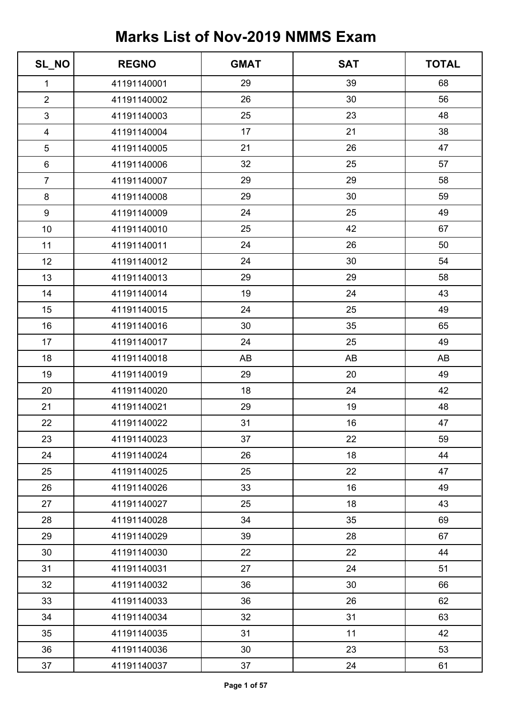| SL_NO                   | <b>REGNO</b> | <b>GMAT</b> | <b>SAT</b> | <b>TOTAL</b> |
|-------------------------|--------------|-------------|------------|--------------|
| $\mathbf{1}$            | 41191140001  | 29          | 39         | 68           |
| $\overline{2}$          | 41191140002  | 26          | 30         | 56           |
| 3                       | 41191140003  | 25          | 23         | 48           |
| $\overline{\mathbf{4}}$ | 41191140004  | 17          | 21         | 38           |
| 5                       | 41191140005  | 21          | 26         | 47           |
| $\,6\,$                 | 41191140006  | 32          | 25         | 57           |
| $\overline{7}$          | 41191140007  | 29          | 29         | 58           |
| $\bf 8$                 | 41191140008  | 29          | 30         | 59           |
| $\boldsymbol{9}$        | 41191140009  | 24          | 25         | 49           |
| 10                      | 41191140010  | 25          | 42         | 67           |
| 11                      | 41191140011  | 24          | 26         | 50           |
| 12                      | 41191140012  | 24          | 30         | 54           |
| 13                      | 41191140013  | 29          | 29         | 58           |
| 14                      | 41191140014  | 19          | 24         | 43           |
| 15                      | 41191140015  | 24          | 25         | 49           |
| 16                      | 41191140016  | 30          | 35         | 65           |
| 17                      | 41191140017  | 24          | 25         | 49           |
| 18                      | 41191140018  | AB          | AB         | AB           |
| 19                      | 41191140019  | 29          | 20         | 49           |
| 20                      | 41191140020  | 18          | 24         | 42           |
| 21                      | 41191140021  | 29          | 19         | 48           |
| 22                      | 41191140022  | 31          | 16         | 47           |
| 23                      | 41191140023  | 37          | 22         | 59           |
| 24                      | 41191140024  | 26          | 18         | 44           |
| 25                      | 41191140025  | 25          | 22         | 47           |
| 26                      | 41191140026  | 33          | 16         | 49           |
| 27                      | 41191140027  | 25          | 18         | 43           |
| 28                      | 41191140028  | 34          | 35         | 69           |
| 29                      | 41191140029  | 39          | 28         | 67           |
| 30                      | 41191140030  | 22          | 22         | 44           |
| 31                      | 41191140031  | 27          | 24         | 51           |
| 32                      | 41191140032  | 36          | 30         | 66           |
| 33                      | 41191140033  | 36          | 26         | 62           |
| 34                      | 41191140034  | 32          | 31         | 63           |
| 35                      | 41191140035  | 31          | 11         | 42           |
| 36                      | 41191140036  | 30          | 23         | 53           |
| 37                      | 41191140037  | 37          | 24         | 61           |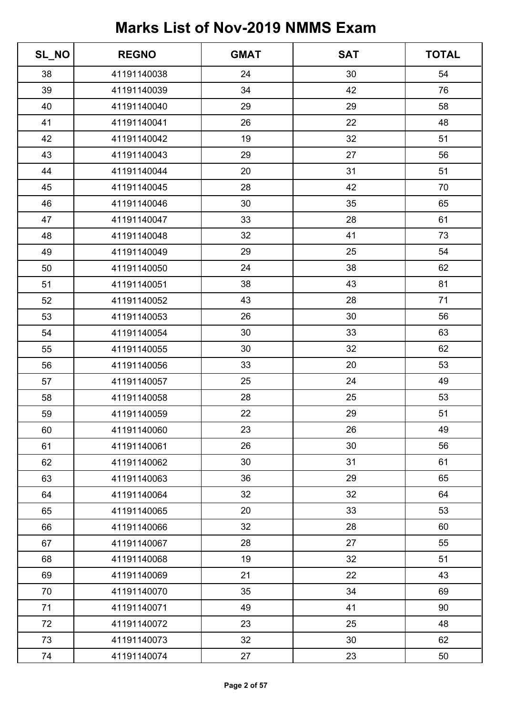| SL_NO | <b>REGNO</b> | <b>GMAT</b> | <b>SAT</b> | <b>TOTAL</b> |
|-------|--------------|-------------|------------|--------------|
| 38    | 41191140038  | 24          | 30         | 54           |
| 39    | 41191140039  | 34          | 42         | 76           |
| 40    | 41191140040  | 29          | 29         | 58           |
| 41    | 41191140041  | 26          | 22         | 48           |
| 42    | 41191140042  | 19          | 32         | 51           |
| 43    | 41191140043  | 29          | 27         | 56           |
| 44    | 41191140044  | 20          | 31         | 51           |
| 45    | 41191140045  | 28          | 42         | 70           |
| 46    | 41191140046  | 30          | 35         | 65           |
| 47    | 41191140047  | 33          | 28         | 61           |
| 48    | 41191140048  | 32          | 41         | 73           |
| 49    | 41191140049  | 29          | 25         | 54           |
| 50    | 41191140050  | 24          | 38         | 62           |
| 51    | 41191140051  | 38          | 43         | 81           |
| 52    | 41191140052  | 43          | 28         | 71           |
| 53    | 41191140053  | 26          | 30         | 56           |
| 54    | 41191140054  | 30          | 33         | 63           |
| 55    | 41191140055  | 30          | 32         | 62           |
| 56    | 41191140056  | 33          | 20         | 53           |
| 57    | 41191140057  | 25          | 24         | 49           |
| 58    | 41191140058  | 28          | 25         | 53           |
| 59    | 41191140059  | 22          | 29         | 51           |
| 60    | 41191140060  | 23          | 26         | 49           |
| 61    | 41191140061  | 26          | 30         | 56           |
| 62    | 41191140062  | 30          | 31         | 61           |
| 63    | 41191140063  | 36          | 29         | 65           |
| 64    | 41191140064  | 32          | 32         | 64           |
| 65    | 41191140065  | 20          | 33         | 53           |
| 66    | 41191140066  | 32          | 28         | 60           |
| 67    | 41191140067  | 28          | 27         | 55           |
| 68    | 41191140068  | 19          | 32         | 51           |
| 69    | 41191140069  | 21          | 22         | 43           |
| 70    | 41191140070  | 35          | 34         | 69           |
| 71    | 41191140071  | 49          | 41         | 90           |
| 72    | 41191140072  | 23          | 25         | 48           |
| 73    | 41191140073  | 32          | 30         | 62           |
| 74    | 41191140074  | 27          | 23         | 50           |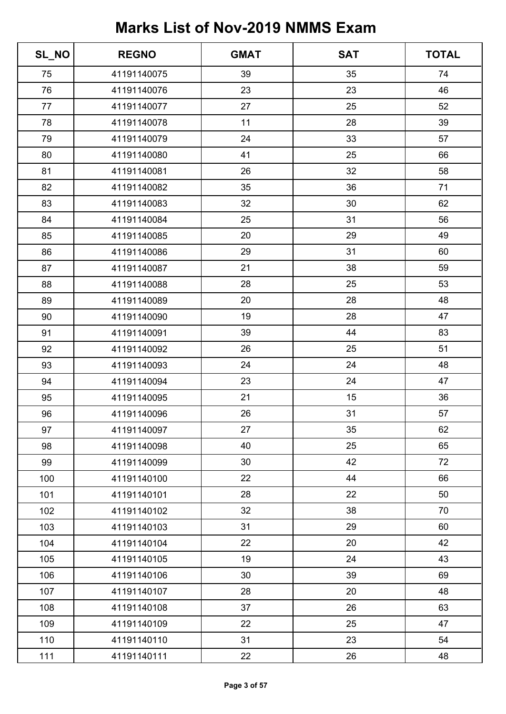| SL_NO | <b>REGNO</b> | <b>GMAT</b> | <b>SAT</b> | <b>TOTAL</b> |
|-------|--------------|-------------|------------|--------------|
| 75    | 41191140075  | 39          | 35         | 74           |
| 76    | 41191140076  | 23          | 23         | 46           |
| 77    | 41191140077  | 27          | 25         | 52           |
| 78    | 41191140078  | 11          | 28         | 39           |
| 79    | 41191140079  | 24          | 33         | 57           |
| 80    | 41191140080  | 41          | 25         | 66           |
| 81    | 41191140081  | 26          | 32         | 58           |
| 82    | 41191140082  | 35          | 36         | 71           |
| 83    | 41191140083  | 32          | 30         | 62           |
| 84    | 41191140084  | 25          | 31         | 56           |
| 85    | 41191140085  | 20          | 29         | 49           |
| 86    | 41191140086  | 29          | 31         | 60           |
| 87    | 41191140087  | 21          | 38         | 59           |
| 88    | 41191140088  | 28          | 25         | 53           |
| 89    | 41191140089  | 20          | 28         | 48           |
| 90    | 41191140090  | 19          | 28         | 47           |
| 91    | 41191140091  | 39          | 44         | 83           |
| 92    | 41191140092  | 26          | 25         | 51           |
| 93    | 41191140093  | 24          | 24         | 48           |
| 94    | 41191140094  | 23          | 24         | 47           |
| 95    | 41191140095  | 21          | 15         | 36           |
| 96    | 41191140096  | 26          | 31         | 57           |
| 97    | 41191140097  | 27          | 35         | 62           |
| 98    | 41191140098  | 40          | 25         | 65           |
| 99    | 41191140099  | 30          | 42         | 72           |
| 100   | 41191140100  | 22          | 44         | 66           |
| 101   | 41191140101  | 28          | 22         | 50           |
| 102   | 41191140102  | 32          | 38         | 70           |
| 103   | 41191140103  | 31          | 29         | 60           |
| 104   | 41191140104  | 22          | 20         | 42           |
| 105   | 41191140105  | 19          | 24         | 43           |
| 106   | 41191140106  | 30          | 39         | 69           |
| 107   | 41191140107  | 28          | 20         | 48           |
| 108   | 41191140108  | 37          | 26         | 63           |
| 109   | 41191140109  | 22          | 25         | 47           |
| 110   | 41191140110  | 31          | 23         | 54           |
| 111   | 41191140111  | 22          | 26         | 48           |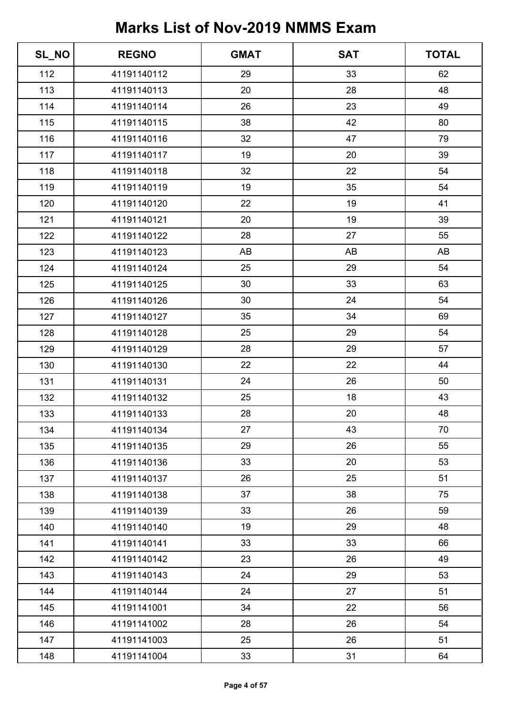| SL_NO | <b>REGNO</b> | <b>GMAT</b> | <b>SAT</b> | <b>TOTAL</b> |
|-------|--------------|-------------|------------|--------------|
| 112   | 41191140112  | 29          | 33         | 62           |
| 113   | 41191140113  | 20          | 28         | 48           |
| 114   | 41191140114  | 26          | 23         | 49           |
| 115   | 41191140115  | 38          | 42         | 80           |
| 116   | 41191140116  | 32          | 47         | 79           |
| 117   | 41191140117  | 19          | 20         | 39           |
| 118   | 41191140118  | 32          | 22         | 54           |
| 119   | 41191140119  | 19          | 35         | 54           |
| 120   | 41191140120  | 22          | 19         | 41           |
| 121   | 41191140121  | 20          | 19         | 39           |
| 122   | 41191140122  | 28          | 27         | 55           |
| 123   | 41191140123  | AB          | AB         | AB           |
| 124   | 41191140124  | 25          | 29         | 54           |
| 125   | 41191140125  | 30          | 33         | 63           |
| 126   | 41191140126  | 30          | 24         | 54           |
| 127   | 41191140127  | 35          | 34         | 69           |
| 128   | 41191140128  | 25          | 29         | 54           |
| 129   | 41191140129  | 28          | 29         | 57           |
| 130   | 41191140130  | 22          | 22         | 44           |
| 131   | 41191140131  | 24          | 26         | 50           |
| 132   | 41191140132  | 25          | 18         | 43           |
| 133   | 41191140133  | 28          | 20         | 48           |
| 134   | 41191140134  | 27          | 43         | 70           |
| 135   | 41191140135  | 29          | 26         | 55           |
| 136   | 41191140136  | 33          | 20         | 53           |
| 137   | 41191140137  | 26          | 25         | 51           |
| 138   | 41191140138  | 37          | 38         | 75           |
| 139   | 41191140139  | 33          | 26         | 59           |
| 140   | 41191140140  | 19          | 29         | 48           |
| 141   | 41191140141  | 33          | 33         | 66           |
| 142   | 41191140142  | 23          | 26         | 49           |
| 143   | 41191140143  | 24          | 29         | 53           |
| 144   | 41191140144  | 24          | 27         | 51           |
| 145   | 41191141001  | 34          | 22         | 56           |
| 146   | 41191141002  | 28          | 26         | 54           |
| 147   | 41191141003  | 25          | 26         | 51           |
| 148   | 41191141004  | 33          | 31         | 64           |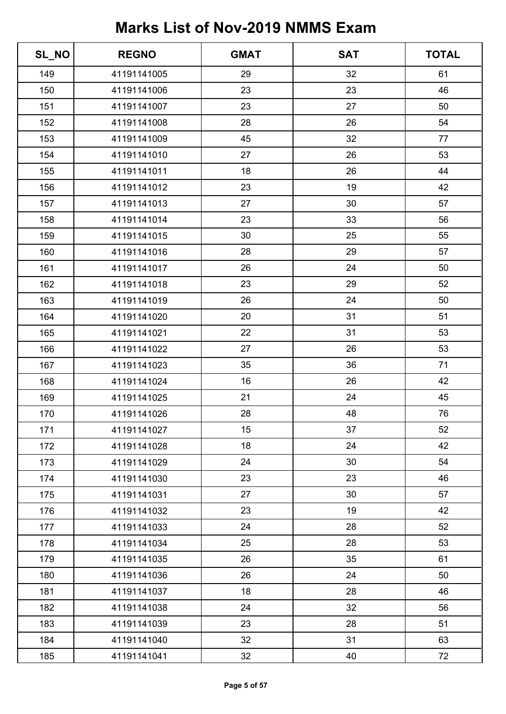| SL_NO | <b>REGNO</b> | <b>GMAT</b> | <b>SAT</b> | <b>TOTAL</b> |
|-------|--------------|-------------|------------|--------------|
| 149   | 41191141005  | 29          | 32         | 61           |
| 150   | 41191141006  | 23          | 23         | 46           |
| 151   | 41191141007  | 23          | 27         | 50           |
| 152   | 41191141008  | 28          | 26         | 54           |
| 153   | 41191141009  | 45          | 32         | 77           |
| 154   | 41191141010  | 27          | 26         | 53           |
| 155   | 41191141011  | 18          | 26         | 44           |
| 156   | 41191141012  | 23          | 19         | 42           |
| 157   | 41191141013  | 27          | 30         | 57           |
| 158   | 41191141014  | 23          | 33         | 56           |
| 159   | 41191141015  | 30          | 25         | 55           |
| 160   | 41191141016  | 28          | 29         | 57           |
| 161   | 41191141017  | 26          | 24         | 50           |
| 162   | 41191141018  | 23          | 29         | 52           |
| 163   | 41191141019  | 26          | 24         | 50           |
| 164   | 41191141020  | 20          | 31         | 51           |
| 165   | 41191141021  | 22          | 31         | 53           |
| 166   | 41191141022  | 27          | 26         | 53           |
| 167   | 41191141023  | 35          | 36         | 71           |
| 168   | 41191141024  | 16          | 26         | 42           |
| 169   | 41191141025  | 21          | 24         | 45           |
| 170   | 41191141026  | 28          | 48         | 76           |
| 171   | 41191141027  | 15          | 37         | 52           |
| 172   | 41191141028  | 18          | 24         | 42           |
| 173   | 41191141029  | 24          | 30         | 54           |
| 174   | 41191141030  | 23          | 23         | 46           |
| 175   | 41191141031  | 27          | 30         | 57           |
| 176   | 41191141032  | 23          | 19         | 42           |
| 177   | 41191141033  | 24          | 28         | 52           |
| 178   | 41191141034  | 25          | 28         | 53           |
| 179   | 41191141035  | 26          | 35         | 61           |
| 180   | 41191141036  | 26          | 24         | 50           |
| 181   | 41191141037  | 18          | 28         | 46           |
| 182   | 41191141038  | 24          | 32         | 56           |
| 183   | 41191141039  | 23          | 28         | 51           |
| 184   | 41191141040  | 32          | 31         | 63           |
| 185   | 41191141041  | 32          | 40         | 72           |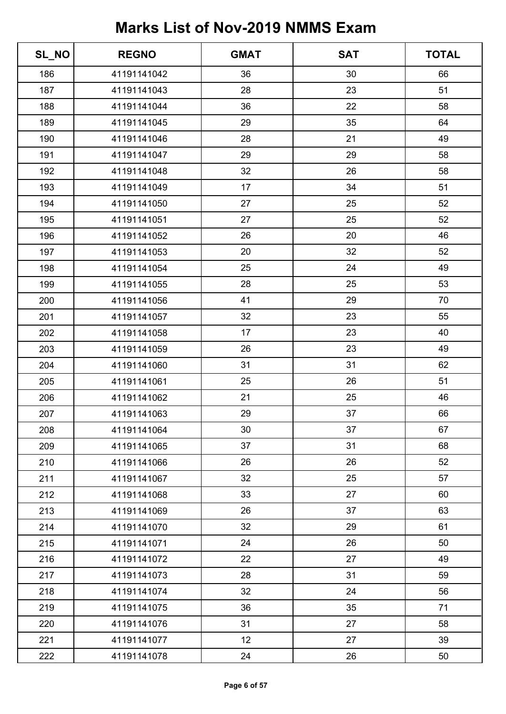| SL_NO | <b>REGNO</b> | <b>GMAT</b> | <b>SAT</b> | <b>TOTAL</b> |
|-------|--------------|-------------|------------|--------------|
| 186   | 41191141042  | 36          | 30         | 66           |
| 187   | 41191141043  | 28          | 23         | 51           |
| 188   | 41191141044  | 36          | 22         | 58           |
| 189   | 41191141045  | 29          | 35         | 64           |
| 190   | 41191141046  | 28          | 21         | 49           |
| 191   | 41191141047  | 29          | 29         | 58           |
| 192   | 41191141048  | 32          | 26         | 58           |
| 193   | 41191141049  | 17          | 34         | 51           |
| 194   | 41191141050  | 27          | 25         | 52           |
| 195   | 41191141051  | 27          | 25         | 52           |
| 196   | 41191141052  | 26          | 20         | 46           |
| 197   | 41191141053  | 20          | 32         | 52           |
| 198   | 41191141054  | 25          | 24         | 49           |
| 199   | 41191141055  | 28          | 25         | 53           |
| 200   | 41191141056  | 41          | 29         | 70           |
| 201   | 41191141057  | 32          | 23         | 55           |
| 202   | 41191141058  | 17          | 23         | 40           |
| 203   | 41191141059  | 26          | 23         | 49           |
| 204   | 41191141060  | 31          | 31         | 62           |
| 205   | 41191141061  | 25          | 26         | 51           |
| 206   | 41191141062  | 21          | 25         | 46           |
| 207   | 41191141063  | 29          | 37         | 66           |
| 208   | 41191141064  | 30          | 37         | 67           |
| 209   | 41191141065  | 37          | 31         | 68           |
| 210   | 41191141066  | 26          | 26         | 52           |
| 211   | 41191141067  | 32          | 25         | 57           |
| 212   | 41191141068  | 33          | 27         | 60           |
| 213   | 41191141069  | 26          | 37         | 63           |
| 214   | 41191141070  | 32          | 29         | 61           |
| 215   | 41191141071  | 24          | 26         | 50           |
| 216   | 41191141072  | 22          | 27         | 49           |
| 217   | 41191141073  | 28          | 31         | 59           |
| 218   | 41191141074  | 32          | 24         | 56           |
| 219   | 41191141075  | 36          | 35         | 71           |
| 220   | 41191141076  | 31          | 27         | 58           |
| 221   | 41191141077  | 12          | 27         | 39           |
| 222   | 41191141078  | 24          | 26         | 50           |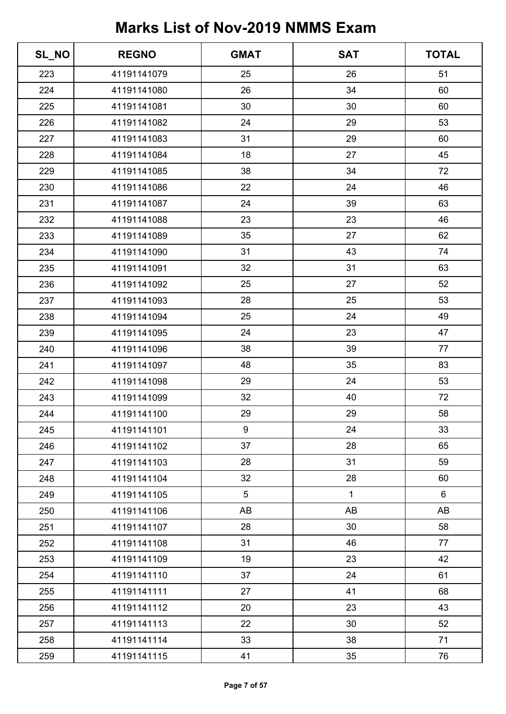| SL_NO | <b>REGNO</b> | <b>GMAT</b> | <b>SAT</b>   | <b>TOTAL</b>   |
|-------|--------------|-------------|--------------|----------------|
| 223   | 41191141079  | 25          | 26           | 51             |
| 224   | 41191141080  | 26          | 34           | 60             |
| 225   | 41191141081  | 30          | 30           | 60             |
| 226   | 41191141082  | 24          | 29           | 53             |
| 227   | 41191141083  | 31          | 29           | 60             |
| 228   | 41191141084  | 18          | 27           | 45             |
| 229   | 41191141085  | 38          | 34           | 72             |
| 230   | 41191141086  | 22          | 24           | 46             |
| 231   | 41191141087  | 24          | 39           | 63             |
| 232   | 41191141088  | 23          | 23           | 46             |
| 233   | 41191141089  | 35          | 27           | 62             |
| 234   | 41191141090  | 31          | 43           | 74             |
| 235   | 41191141091  | 32          | 31           | 63             |
| 236   | 41191141092  | 25          | 27           | 52             |
| 237   | 41191141093  | 28          | 25           | 53             |
| 238   | 41191141094  | 25          | 24           | 49             |
| 239   | 41191141095  | 24          | 23           | 47             |
| 240   | 41191141096  | 38          | 39           | 77             |
| 241   | 41191141097  | 48          | 35           | 83             |
| 242   | 41191141098  | 29          | 24           | 53             |
| 243   | 41191141099  | 32          | 40           | 72             |
| 244   | 41191141100  | 29          | 29           | 58             |
| 245   | 41191141101  | 9           | 24           | 33             |
| 246   | 41191141102  | 37          | 28           | 65             |
| 247   | 41191141103  | 28          | 31           | 59             |
| 248   | 41191141104  | 32          | 28           | 60             |
| 249   | 41191141105  | 5           | $\mathbf{1}$ | $6\phantom{a}$ |
| 250   | 41191141106  | AB          | AB           | AB             |
| 251   | 41191141107  | 28          | 30           | 58             |
| 252   | 41191141108  | 31          | 46           | 77             |
| 253   | 41191141109  | 19          | 23           | 42             |
| 254   | 41191141110  | 37          | 24           | 61             |
| 255   | 41191141111  | 27          | 41           | 68             |
| 256   | 41191141112  | 20          | 23           | 43             |
| 257   | 41191141113  | 22          | 30           | 52             |
| 258   | 41191141114  | 33          | 38           | 71             |
| 259   | 41191141115  | 41          | 35           | 76             |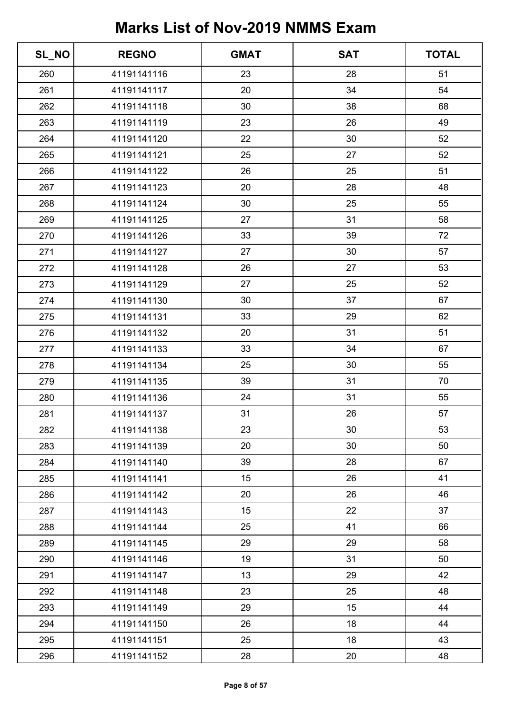| SL_NO | <b>REGNO</b> | <b>GMAT</b> | <b>SAT</b> | <b>TOTAL</b> |
|-------|--------------|-------------|------------|--------------|
| 260   | 41191141116  | 23          | 28         | 51           |
| 261   | 41191141117  | 20          | 34         | 54           |
| 262   | 41191141118  | 30          | 38         | 68           |
| 263   | 41191141119  | 23          | 26         | 49           |
| 264   | 41191141120  | 22          | 30         | 52           |
| 265   | 41191141121  | 25          | 27         | 52           |
| 266   | 41191141122  | 26          | 25         | 51           |
| 267   | 41191141123  | 20          | 28         | 48           |
| 268   | 41191141124  | 30          | 25         | 55           |
| 269   | 41191141125  | 27          | 31         | 58           |
| 270   | 41191141126  | 33          | 39         | 72           |
| 271   | 41191141127  | 27          | 30         | 57           |
| 272   | 41191141128  | 26          | 27         | 53           |
| 273   | 41191141129  | 27          | 25         | 52           |
| 274   | 41191141130  | 30          | 37         | 67           |
| 275   | 41191141131  | 33          | 29         | 62           |
| 276   | 41191141132  | 20          | 31         | 51           |
| 277   | 41191141133  | 33          | 34         | 67           |
| 278   | 41191141134  | 25          | 30         | 55           |
| 279   | 41191141135  | 39          | 31         | 70           |
| 280   | 41191141136  | 24          | 31         | 55           |
| 281   | 41191141137  | 31          | 26         | 57           |
| 282   | 41191141138  | 23          | 30         | 53           |
| 283   | 41191141139  | 20          | 30         | 50           |
| 284   | 41191141140  | 39          | 28         | 67           |
| 285   | 41191141141  | 15          | 26         | 41           |
| 286   | 41191141142  | 20          | 26         | 46           |
| 287   | 41191141143  | 15          | 22         | 37           |
| 288   | 41191141144  | 25          | 41         | 66           |
| 289   | 41191141145  | 29          | 29         | 58           |
| 290   | 41191141146  | 19          | 31         | 50           |
| 291   | 41191141147  | 13          | 29         | 42           |
| 292   | 41191141148  | 23          | 25         | 48           |
| 293   | 41191141149  | 29          | 15         | 44           |
| 294   | 41191141150  | 26          | 18         | 44           |
| 295   | 41191141151  | 25          | 18         | 43           |
| 296   | 41191141152  | 28          | 20         | 48           |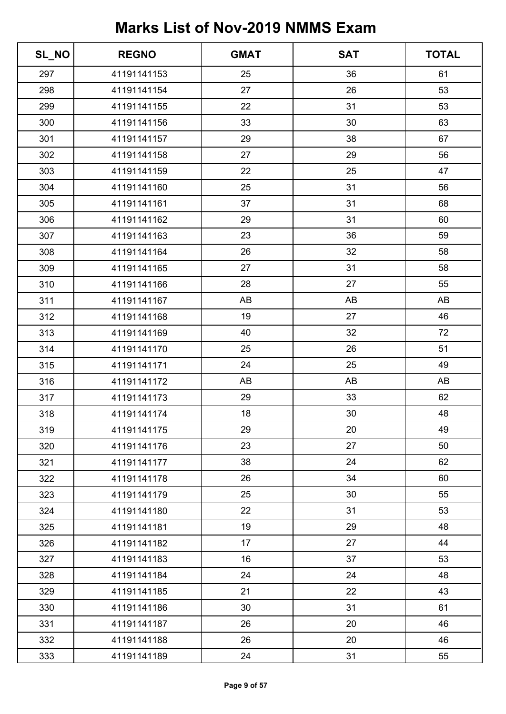| SL_NO | <b>REGNO</b> | <b>GMAT</b> | <b>SAT</b> | <b>TOTAL</b> |
|-------|--------------|-------------|------------|--------------|
| 297   | 41191141153  | 25          | 36         | 61           |
| 298   | 41191141154  | 27          | 26         | 53           |
| 299   | 41191141155  | 22          | 31         | 53           |
| 300   | 41191141156  | 33          | 30         | 63           |
| 301   | 41191141157  | 29          | 38         | 67           |
| 302   | 41191141158  | 27          | 29         | 56           |
| 303   | 41191141159  | 22          | 25         | 47           |
| 304   | 41191141160  | 25          | 31         | 56           |
| 305   | 41191141161  | 37          | 31         | 68           |
| 306   | 41191141162  | 29          | 31         | 60           |
| 307   | 41191141163  | 23          | 36         | 59           |
| 308   | 41191141164  | 26          | 32         | 58           |
| 309   | 41191141165  | 27          | 31         | 58           |
| 310   | 41191141166  | 28          | 27         | 55           |
| 311   | 41191141167  | AB          | AB         | AB           |
| 312   | 41191141168  | 19          | 27         | 46           |
| 313   | 41191141169  | 40          | 32         | 72           |
| 314   | 41191141170  | 25          | 26         | 51           |
| 315   | 41191141171  | 24          | 25         | 49           |
| 316   | 41191141172  | AB          | AB         | AB           |
| 317   | 41191141173  | 29          | 33         | 62           |
| 318   | 41191141174  | 18          | 30         | 48           |
| 319   | 41191141175  | 29          | 20         | 49           |
| 320   | 41191141176  | 23          | 27         | 50           |
| 321   | 41191141177  | 38          | 24         | 62           |
| 322   | 41191141178  | 26          | 34         | 60           |
| 323   | 41191141179  | 25          | 30         | 55           |
| 324   | 41191141180  | 22          | 31         | 53           |
| 325   | 41191141181  | 19          | 29         | 48           |
| 326   | 41191141182  | 17          | 27         | 44           |
| 327   | 41191141183  | 16          | 37         | 53           |
| 328   | 41191141184  | 24          | 24         | 48           |
| 329   | 41191141185  | 21          | 22         | 43           |
| 330   | 41191141186  | 30          | 31         | 61           |
| 331   | 41191141187  | 26          | 20         | 46           |
| 332   | 41191141188  | 26          | 20         | 46           |
| 333   | 41191141189  | 24          | 31         | 55           |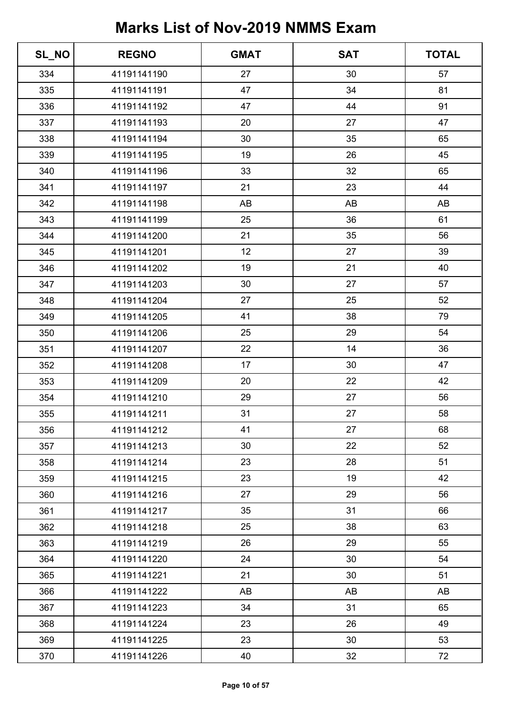| SL_NO | <b>REGNO</b> | <b>GMAT</b> | <b>SAT</b> | <b>TOTAL</b> |
|-------|--------------|-------------|------------|--------------|
| 334   | 41191141190  | 27          | 30         | 57           |
| 335   | 41191141191  | 47          | 34         | 81           |
| 336   | 41191141192  | 47          | 44         | 91           |
| 337   | 41191141193  | 20          | 27         | 47           |
| 338   | 41191141194  | 30          | 35         | 65           |
| 339   | 41191141195  | 19          | 26         | 45           |
| 340   | 41191141196  | 33          | 32         | 65           |
| 341   | 41191141197  | 21          | 23         | 44           |
| 342   | 41191141198  | AB          | AB         | AB           |
| 343   | 41191141199  | 25          | 36         | 61           |
| 344   | 41191141200  | 21          | 35         | 56           |
| 345   | 41191141201  | 12          | 27         | 39           |
| 346   | 41191141202  | 19          | 21         | 40           |
| 347   | 41191141203  | 30          | 27         | 57           |
| 348   | 41191141204  | 27          | 25         | 52           |
| 349   | 41191141205  | 41          | 38         | 79           |
| 350   | 41191141206  | 25          | 29         | 54           |
| 351   | 41191141207  | 22          | 14         | 36           |
| 352   | 41191141208  | 17          | 30         | 47           |
| 353   | 41191141209  | 20          | 22         | 42           |
| 354   | 41191141210  | 29          | 27         | 56           |
| 355   | 41191141211  | 31          | 27         | 58           |
| 356   | 41191141212  | 41          | 27         | 68           |
| 357   | 41191141213  | 30          | 22         | 52           |
| 358   | 41191141214  | 23          | 28         | 51           |
| 359   | 41191141215  | 23          | 19         | 42           |
| 360   | 41191141216  | 27          | 29         | 56           |
| 361   | 41191141217  | 35          | 31         | 66           |
| 362   | 41191141218  | 25          | 38         | 63           |
| 363   | 41191141219  | 26          | 29         | 55           |
| 364   | 41191141220  | 24          | 30         | 54           |
| 365   | 41191141221  | 21          | 30         | 51           |
| 366   | 41191141222  | AB          | AB         | AB           |
| 367   | 41191141223  | 34          | 31         | 65           |
| 368   | 41191141224  | 23          | 26         | 49           |
| 369   | 41191141225  | 23          | 30         | 53           |
| 370   | 41191141226  | 40          | 32         | 72           |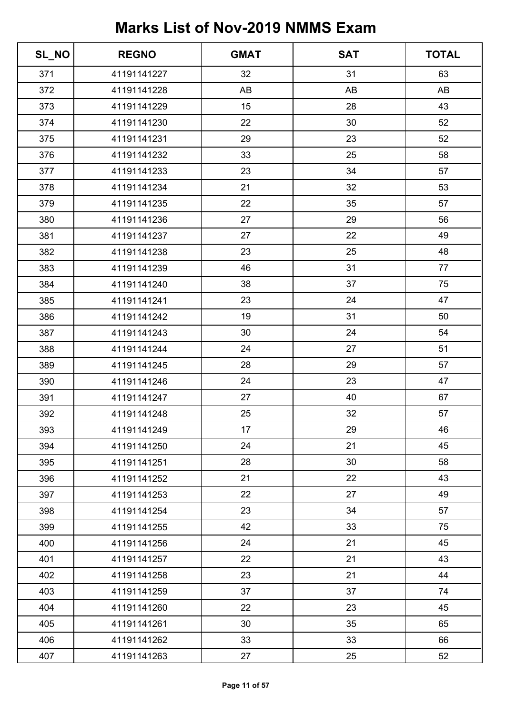| SL_NO | <b>REGNO</b> | <b>GMAT</b> | <b>SAT</b> | <b>TOTAL</b> |
|-------|--------------|-------------|------------|--------------|
| 371   | 41191141227  | 32          | 31         | 63           |
| 372   | 41191141228  | AB          | AB         | AB           |
| 373   | 41191141229  | 15          | 28         | 43           |
| 374   | 41191141230  | 22          | 30         | 52           |
| 375   | 41191141231  | 29          | 23         | 52           |
| 376   | 41191141232  | 33          | 25         | 58           |
| 377   | 41191141233  | 23          | 34         | 57           |
| 378   | 41191141234  | 21          | 32         | 53           |
| 379   | 41191141235  | 22          | 35         | 57           |
| 380   | 41191141236  | 27          | 29         | 56           |
| 381   | 41191141237  | 27          | 22         | 49           |
| 382   | 41191141238  | 23          | 25         | 48           |
| 383   | 41191141239  | 46          | 31         | 77           |
| 384   | 41191141240  | 38          | 37         | 75           |
| 385   | 41191141241  | 23          | 24         | 47           |
| 386   | 41191141242  | 19          | 31         | 50           |
| 387   | 41191141243  | 30          | 24         | 54           |
| 388   | 41191141244  | 24          | 27         | 51           |
| 389   | 41191141245  | 28          | 29         | 57           |
| 390   | 41191141246  | 24          | 23         | 47           |
| 391   | 41191141247  | 27          | 40         | 67           |
| 392   | 41191141248  | 25          | 32         | 57           |
| 393   | 41191141249  | 17          | 29         | 46           |
| 394   | 41191141250  | 24          | 21         | 45           |
| 395   | 41191141251  | 28          | 30         | 58           |
| 396   | 41191141252  | 21          | 22         | 43           |
| 397   | 41191141253  | 22          | 27         | 49           |
| 398   | 41191141254  | 23          | 34         | 57           |
| 399   | 41191141255  | 42          | 33         | 75           |
| 400   | 41191141256  | 24          | 21         | 45           |
| 401   | 41191141257  | 22          | 21         | 43           |
| 402   | 41191141258  | 23          | 21         | 44           |
| 403   | 41191141259  | 37          | 37         | 74           |
| 404   | 41191141260  | 22          | 23         | 45           |
| 405   | 41191141261  | 30          | 35         | 65           |
| 406   | 41191141262  | 33          | 33         | 66           |
| 407   | 41191141263  | 27          | 25         | 52           |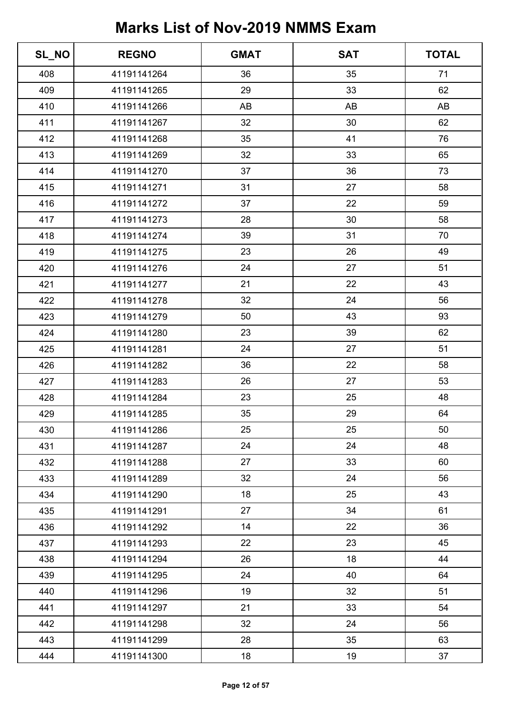| SL_NO | <b>REGNO</b> | <b>GMAT</b> | <b>SAT</b> | <b>TOTAL</b> |
|-------|--------------|-------------|------------|--------------|
| 408   | 41191141264  | 36          | 35         | 71           |
| 409   | 41191141265  | 29          | 33         | 62           |
| 410   | 41191141266  | AB          | AB         | AB           |
| 411   | 41191141267  | 32          | 30         | 62           |
| 412   | 41191141268  | 35          | 41         | 76           |
| 413   | 41191141269  | 32          | 33         | 65           |
| 414   | 41191141270  | 37          | 36         | 73           |
| 415   | 41191141271  | 31          | 27         | 58           |
| 416   | 41191141272  | 37          | 22         | 59           |
| 417   | 41191141273  | 28          | 30         | 58           |
| 418   | 41191141274  | 39          | 31         | 70           |
| 419   | 41191141275  | 23          | 26         | 49           |
| 420   | 41191141276  | 24          | 27         | 51           |
| 421   | 41191141277  | 21          | 22         | 43           |
| 422   | 41191141278  | 32          | 24         | 56           |
| 423   | 41191141279  | 50          | 43         | 93           |
| 424   | 41191141280  | 23          | 39         | 62           |
| 425   | 41191141281  | 24          | 27         | 51           |
| 426   | 41191141282  | 36          | 22         | 58           |
| 427   | 41191141283  | 26          | 27         | 53           |
| 428   | 41191141284  | 23          | 25         | 48           |
| 429   | 41191141285  | 35          | 29         | 64           |
| 430   | 41191141286  | 25          | 25         | 50           |
| 431   | 41191141287  | 24          | 24         | 48           |
| 432   | 41191141288  | 27          | 33         | 60           |
| 433   | 41191141289  | 32          | 24         | 56           |
| 434   | 41191141290  | 18          | 25         | 43           |
| 435   | 41191141291  | 27          | 34         | 61           |
| 436   | 41191141292  | 14          | 22         | 36           |
| 437   | 41191141293  | 22          | 23         | 45           |
| 438   | 41191141294  | 26          | 18         | 44           |
| 439   | 41191141295  | 24          | 40         | 64           |
| 440   | 41191141296  | 19          | 32         | 51           |
| 441   | 41191141297  | 21          | 33         | 54           |
| 442   | 41191141298  | 32          | 24         | 56           |
| 443   | 41191141299  | 28          | 35         | 63           |
| 444   | 41191141300  | 18          | 19         | 37           |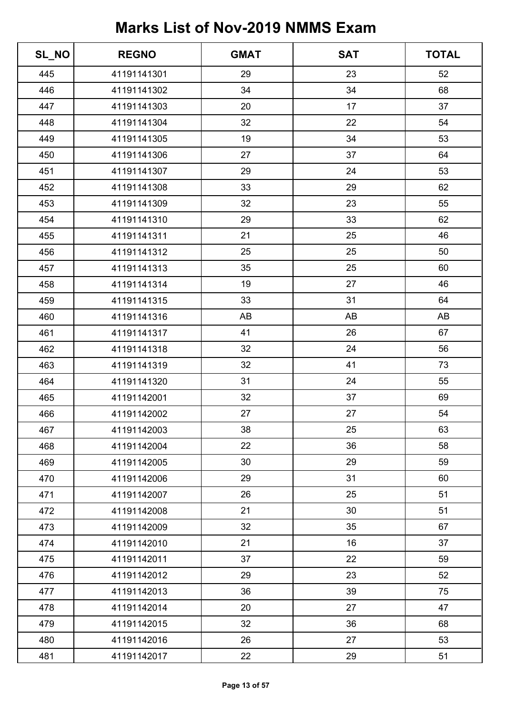| SL_NO | <b>REGNO</b> | <b>GMAT</b> | <b>SAT</b> | <b>TOTAL</b> |
|-------|--------------|-------------|------------|--------------|
| 445   | 41191141301  | 29          | 23         | 52           |
| 446   | 41191141302  | 34          | 34         | 68           |
| 447   | 41191141303  | 20          | 17         | 37           |
| 448   | 41191141304  | 32          | 22         | 54           |
| 449   | 41191141305  | 19          | 34         | 53           |
| 450   | 41191141306  | 27          | 37         | 64           |
| 451   | 41191141307  | 29          | 24         | 53           |
| 452   | 41191141308  | 33          | 29         | 62           |
| 453   | 41191141309  | 32          | 23         | 55           |
| 454   | 41191141310  | 29          | 33         | 62           |
| 455   | 41191141311  | 21          | 25         | 46           |
| 456   | 41191141312  | 25          | 25         | 50           |
| 457   | 41191141313  | 35          | 25         | 60           |
| 458   | 41191141314  | 19          | 27         | 46           |
| 459   | 41191141315  | 33          | 31         | 64           |
| 460   | 41191141316  | AB          | AB         | AB           |
| 461   | 41191141317  | 41          | 26         | 67           |
| 462   | 41191141318  | 32          | 24         | 56           |
| 463   | 41191141319  | 32          | 41         | 73           |
| 464   | 41191141320  | 31          | 24         | 55           |
| 465   | 41191142001  | 32          | 37         | 69           |
| 466   | 41191142002  | 27          | 27         | 54           |
| 467   | 41191142003  | 38          | 25         | 63           |
| 468   | 41191142004  | 22          | 36         | 58           |
| 469   | 41191142005  | 30          | 29         | 59           |
| 470   | 41191142006  | 29          | 31         | 60           |
| 471   | 41191142007  | 26          | 25         | 51           |
| 472   | 41191142008  | 21          | 30         | 51           |
| 473   | 41191142009  | 32          | 35         | 67           |
| 474   | 41191142010  | 21          | 16         | 37           |
| 475   | 41191142011  | 37          | 22         | 59           |
| 476   | 41191142012  | 29          | 23         | 52           |
| 477   | 41191142013  | 36          | 39         | 75           |
| 478   | 41191142014  | 20          | 27         | 47           |
| 479   | 41191142015  | 32          | 36         | 68           |
| 480   | 41191142016  | 26          | 27         | 53           |
| 481   | 41191142017  | 22          | 29         | 51           |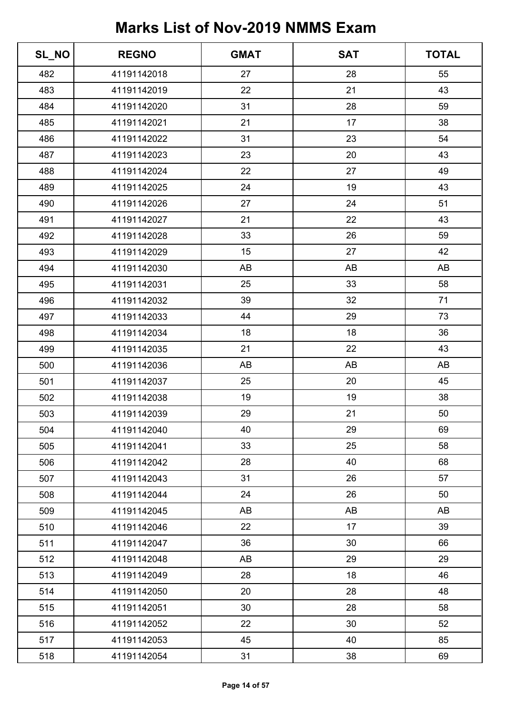| SL_NO | <b>REGNO</b> | <b>GMAT</b> | <b>SAT</b> | <b>TOTAL</b> |
|-------|--------------|-------------|------------|--------------|
| 482   | 41191142018  | 27          | 28         | 55           |
| 483   | 41191142019  | 22          | 21         | 43           |
| 484   | 41191142020  | 31          | 28         | 59           |
| 485   | 41191142021  | 21          | 17         | 38           |
| 486   | 41191142022  | 31          | 23         | 54           |
| 487   | 41191142023  | 23          | 20         | 43           |
| 488   | 41191142024  | 22          | 27         | 49           |
| 489   | 41191142025  | 24          | 19         | 43           |
| 490   | 41191142026  | 27          | 24         | 51           |
| 491   | 41191142027  | 21          | 22         | 43           |
| 492   | 41191142028  | 33          | 26         | 59           |
| 493   | 41191142029  | 15          | 27         | 42           |
| 494   | 41191142030  | AB          | AB         | AB           |
| 495   | 41191142031  | 25          | 33         | 58           |
| 496   | 41191142032  | 39          | 32         | 71           |
| 497   | 41191142033  | 44          | 29         | 73           |
| 498   | 41191142034  | 18          | 18         | 36           |
| 499   | 41191142035  | 21          | 22         | 43           |
| 500   | 41191142036  | AB          | AB         | AB           |
| 501   | 41191142037  | 25          | 20         | 45           |
| 502   | 41191142038  | 19          | 19         | 38           |
| 503   | 41191142039  | 29          | 21         | 50           |
| 504   | 41191142040  | 40          | 29         | 69           |
| 505   | 41191142041  | 33          | 25         | 58           |
| 506   | 41191142042  | 28          | 40         | 68           |
| 507   | 41191142043  | 31          | 26         | 57           |
| 508   | 41191142044  | 24          | 26         | 50           |
| 509   | 41191142045  | AB          | AB         | AB           |
| 510   | 41191142046  | 22          | 17         | 39           |
| 511   | 41191142047  | 36          | 30         | 66           |
| 512   | 41191142048  | AB          | 29         | 29           |
| 513   | 41191142049  | 28          | 18         | 46           |
| 514   | 41191142050  | 20          | 28         | 48           |
| 515   | 41191142051  | 30          | 28         | 58           |
| 516   | 41191142052  | 22          | 30         | 52           |
| 517   | 41191142053  | 45          | 40         | 85           |
| 518   | 41191142054  | 31          | 38         | 69           |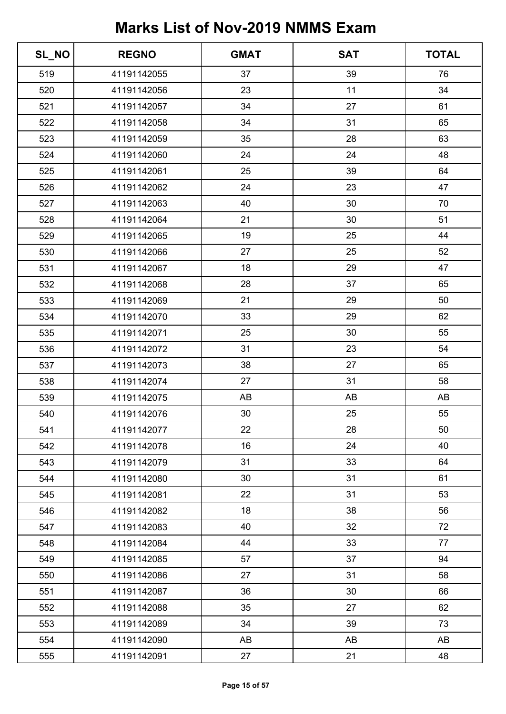| SL_NO | <b>REGNO</b> | <b>GMAT</b> | <b>SAT</b> | <b>TOTAL</b> |
|-------|--------------|-------------|------------|--------------|
| 519   | 41191142055  | 37          | 39         | 76           |
| 520   | 41191142056  | 23          | 11         | 34           |
| 521   | 41191142057  | 34          | 27         | 61           |
| 522   | 41191142058  | 34          | 31         | 65           |
| 523   | 41191142059  | 35          | 28         | 63           |
| 524   | 41191142060  | 24          | 24         | 48           |
| 525   | 41191142061  | 25          | 39         | 64           |
| 526   | 41191142062  | 24          | 23         | 47           |
| 527   | 41191142063  | 40          | 30         | 70           |
| 528   | 41191142064  | 21          | 30         | 51           |
| 529   | 41191142065  | 19          | 25         | 44           |
| 530   | 41191142066  | 27          | 25         | 52           |
| 531   | 41191142067  | 18          | 29         | 47           |
| 532   | 41191142068  | 28          | 37         | 65           |
| 533   | 41191142069  | 21          | 29         | 50           |
| 534   | 41191142070  | 33          | 29         | 62           |
| 535   | 41191142071  | 25          | 30         | 55           |
| 536   | 41191142072  | 31          | 23         | 54           |
| 537   | 41191142073  | 38          | 27         | 65           |
| 538   | 41191142074  | 27          | 31         | 58           |
| 539   | 41191142075  | AB          | AB         | AB           |
| 540   | 41191142076  | 30          | 25         | 55           |
| 541   | 41191142077  | 22          | 28         | 50           |
| 542   | 41191142078  | 16          | 24         | 40           |
| 543   | 41191142079  | 31          | 33         | 64           |
| 544   | 41191142080  | 30          | 31         | 61           |
| 545   | 41191142081  | 22          | 31         | 53           |
| 546   | 41191142082  | 18          | 38         | 56           |
| 547   | 41191142083  | 40          | 32         | 72           |
| 548   | 41191142084  | 44          | 33         | 77           |
| 549   | 41191142085  | 57          | 37         | 94           |
| 550   | 41191142086  | 27          | 31         | 58           |
| 551   | 41191142087  | 36          | 30         | 66           |
| 552   | 41191142088  | 35          | 27         | 62           |
| 553   | 41191142089  | 34          | 39         | 73           |
| 554   | 41191142090  | AB          | AB         | AB           |
| 555   | 41191142091  | 27          | 21         | 48           |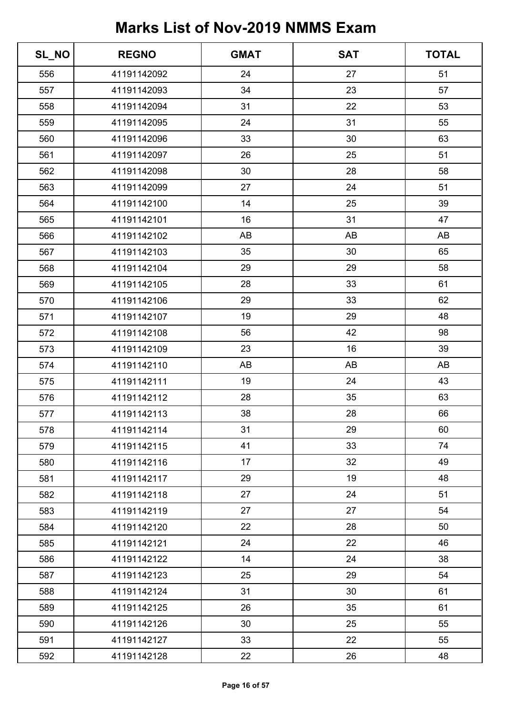| SL_NO | <b>REGNO</b> | <b>GMAT</b> | <b>SAT</b> | <b>TOTAL</b> |
|-------|--------------|-------------|------------|--------------|
| 556   | 41191142092  | 24          | 27         | 51           |
| 557   | 41191142093  | 34          | 23         | 57           |
| 558   | 41191142094  | 31          | 22         | 53           |
| 559   | 41191142095  | 24          | 31         | 55           |
| 560   | 41191142096  | 33          | 30         | 63           |
| 561   | 41191142097  | 26          | 25         | 51           |
| 562   | 41191142098  | 30          | 28         | 58           |
| 563   | 41191142099  | 27          | 24         | 51           |
| 564   | 41191142100  | 14          | 25         | 39           |
| 565   | 41191142101  | 16          | 31         | 47           |
| 566   | 41191142102  | AB          | AB         | AB           |
| 567   | 41191142103  | 35          | 30         | 65           |
| 568   | 41191142104  | 29          | 29         | 58           |
| 569   | 41191142105  | 28          | 33         | 61           |
| 570   | 41191142106  | 29          | 33         | 62           |
| 571   | 41191142107  | 19          | 29         | 48           |
| 572   | 41191142108  | 56          | 42         | 98           |
| 573   | 41191142109  | 23          | 16         | 39           |
| 574   | 41191142110  | AB          | AB         | AB           |
| 575   | 41191142111  | 19          | 24         | 43           |
| 576   | 41191142112  | 28          | 35         | 63           |
| 577   | 41191142113  | 38          | 28         | 66           |
| 578   | 41191142114  | 31          | 29         | 60           |
| 579   | 41191142115  | 41          | 33         | 74           |
| 580   | 41191142116  | 17          | 32         | 49           |
| 581   | 41191142117  | 29          | 19         | 48           |
| 582   | 41191142118  | 27          | 24         | 51           |
| 583   | 41191142119  | 27          | 27         | 54           |
| 584   | 41191142120  | 22          | 28         | 50           |
| 585   | 41191142121  | 24          | 22         | 46           |
| 586   | 41191142122  | 14          | 24         | 38           |
| 587   | 41191142123  | 25          | 29         | 54           |
| 588   | 41191142124  | 31          | 30         | 61           |
| 589   | 41191142125  | 26          | 35         | 61           |
| 590   | 41191142126  | 30          | 25         | 55           |
| 591   | 41191142127  | 33          | 22         | 55           |
| 592   | 41191142128  | 22          | 26         | 48           |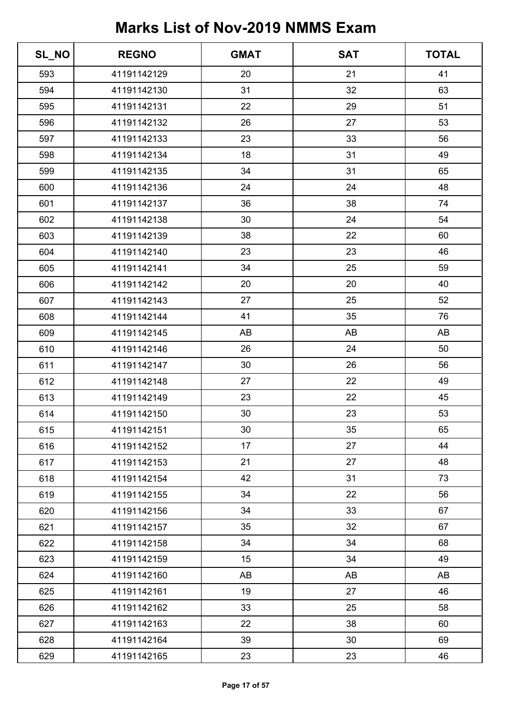| SL_NO | <b>REGNO</b> | <b>GMAT</b> | <b>SAT</b> | <b>TOTAL</b> |
|-------|--------------|-------------|------------|--------------|
| 593   | 41191142129  | 20          | 21         | 41           |
| 594   | 41191142130  | 31          | 32         | 63           |
| 595   | 41191142131  | 22          | 29         | 51           |
| 596   | 41191142132  | 26          | 27         | 53           |
| 597   | 41191142133  | 23          | 33         | 56           |
| 598   | 41191142134  | 18          | 31         | 49           |
| 599   | 41191142135  | 34          | 31         | 65           |
| 600   | 41191142136  | 24          | 24         | 48           |
| 601   | 41191142137  | 36          | 38         | 74           |
| 602   | 41191142138  | 30          | 24         | 54           |
| 603   | 41191142139  | 38          | 22         | 60           |
| 604   | 41191142140  | 23          | 23         | 46           |
| 605   | 41191142141  | 34          | 25         | 59           |
| 606   | 41191142142  | 20          | 20         | 40           |
| 607   | 41191142143  | 27          | 25         | 52           |
| 608   | 41191142144  | 41          | 35         | 76           |
| 609   | 41191142145  | AB          | AB         | AB           |
| 610   | 41191142146  | 26          | 24         | 50           |
| 611   | 41191142147  | 30          | 26         | 56           |
| 612   | 41191142148  | 27          | 22         | 49           |
| 613   | 41191142149  | 23          | 22         | 45           |
| 614   | 41191142150  | 30          | 23         | 53           |
| 615   | 41191142151  | 30          | 35         | 65           |
| 616   | 41191142152  | 17          | 27         | 44           |
| 617   | 41191142153  | 21          | 27         | 48           |
| 618   | 41191142154  | 42          | 31         | 73           |
| 619   | 41191142155  | 34          | 22         | 56           |
| 620   | 41191142156  | 34          | 33         | 67           |
| 621   | 41191142157  | 35          | 32         | 67           |
| 622   | 41191142158  | 34          | 34         | 68           |
| 623   | 41191142159  | 15          | 34         | 49           |
| 624   | 41191142160  | AB          | AB         | AB           |
| 625   | 41191142161  | 19          | 27         | 46           |
| 626   | 41191142162  | 33          | 25         | 58           |
| 627   | 41191142163  | 22          | 38         | 60           |
| 628   | 41191142164  | 39          | 30         | 69           |
| 629   | 41191142165  | 23          | 23         | 46           |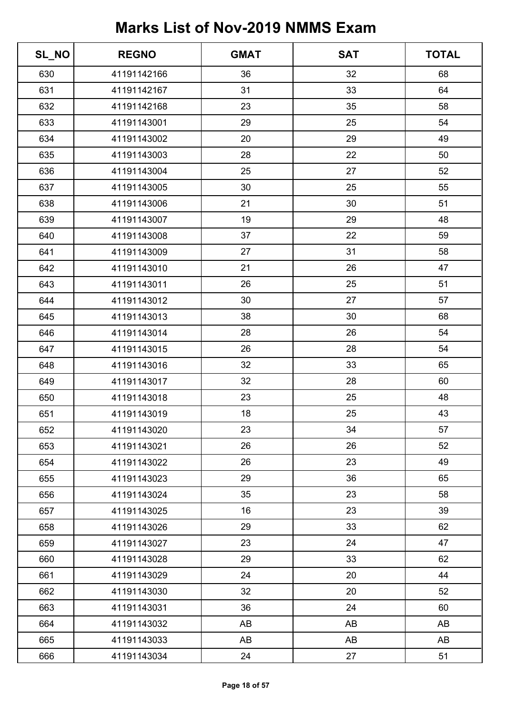| SL_NO | <b>REGNO</b> | <b>GMAT</b> | <b>SAT</b> | <b>TOTAL</b> |
|-------|--------------|-------------|------------|--------------|
| 630   | 41191142166  | 36          | 32         | 68           |
| 631   | 41191142167  | 31          | 33         | 64           |
| 632   | 41191142168  | 23          | 35         | 58           |
| 633   | 41191143001  | 29          | 25         | 54           |
| 634   | 41191143002  | 20          | 29         | 49           |
| 635   | 41191143003  | 28          | 22         | 50           |
| 636   | 41191143004  | 25          | 27         | 52           |
| 637   | 41191143005  | 30          | 25         | 55           |
| 638   | 41191143006  | 21          | 30         | 51           |
| 639   | 41191143007  | 19          | 29         | 48           |
| 640   | 41191143008  | 37          | 22         | 59           |
| 641   | 41191143009  | 27          | 31         | 58           |
| 642   | 41191143010  | 21          | 26         | 47           |
| 643   | 41191143011  | 26          | 25         | 51           |
| 644   | 41191143012  | 30          | 27         | 57           |
| 645   | 41191143013  | 38          | 30         | 68           |
| 646   | 41191143014  | 28          | 26         | 54           |
| 647   | 41191143015  | 26          | 28         | 54           |
| 648   | 41191143016  | 32          | 33         | 65           |
| 649   | 41191143017  | 32          | 28         | 60           |
| 650   | 41191143018  | 23          | 25         | 48           |
| 651   | 41191143019  | 18          | 25         | 43           |
| 652   | 41191143020  | 23          | 34         | 57           |
| 653   | 41191143021  | 26          | 26         | 52           |
| 654   | 41191143022  | 26          | 23         | 49           |
| 655   | 41191143023  | 29          | 36         | 65           |
| 656   | 41191143024  | 35          | 23         | 58           |
| 657   | 41191143025  | 16          | 23         | 39           |
| 658   | 41191143026  | 29          | 33         | 62           |
| 659   | 41191143027  | 23          | 24         | 47           |
| 660   | 41191143028  | 29          | 33         | 62           |
| 661   | 41191143029  | 24          | 20         | 44           |
| 662   | 41191143030  | 32          | 20         | 52           |
| 663   | 41191143031  | 36          | 24         | 60           |
| 664   | 41191143032  | AB          | AB         | AB           |
| 665   | 41191143033  | AB          | AB         | AB           |
| 666   | 41191143034  | 24          | 27         | 51           |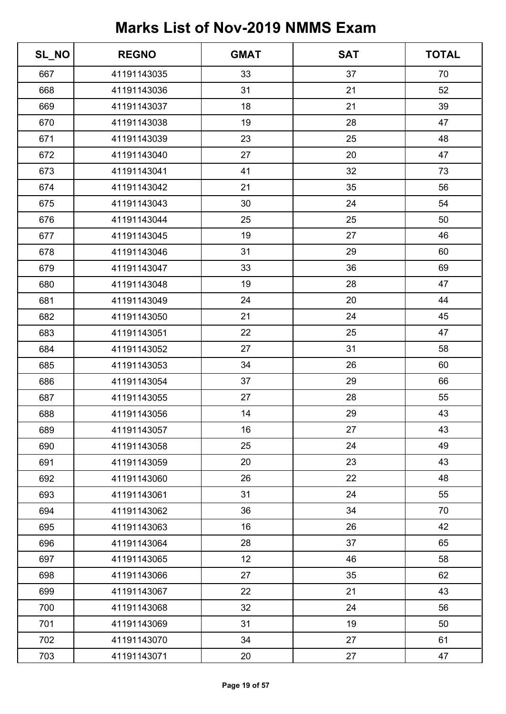| SL_NO | <b>REGNO</b> | <b>GMAT</b> | <b>SAT</b> | <b>TOTAL</b> |
|-------|--------------|-------------|------------|--------------|
| 667   | 41191143035  | 33          | 37         | 70           |
| 668   | 41191143036  | 31          | 21         | 52           |
| 669   | 41191143037  | 18          | 21         | 39           |
| 670   | 41191143038  | 19          | 28         | 47           |
| 671   | 41191143039  | 23          | 25         | 48           |
| 672   | 41191143040  | 27          | 20         | 47           |
| 673   | 41191143041  | 41          | 32         | 73           |
| 674   | 41191143042  | 21          | 35         | 56           |
| 675   | 41191143043  | 30          | 24         | 54           |
| 676   | 41191143044  | 25          | 25         | 50           |
| 677   | 41191143045  | 19          | 27         | 46           |
| 678   | 41191143046  | 31          | 29         | 60           |
| 679   | 41191143047  | 33          | 36         | 69           |
| 680   | 41191143048  | 19          | 28         | 47           |
| 681   | 41191143049  | 24          | 20         | 44           |
| 682   | 41191143050  | 21          | 24         | 45           |
| 683   | 41191143051  | 22          | 25         | 47           |
| 684   | 41191143052  | 27          | 31         | 58           |
| 685   | 41191143053  | 34          | 26         | 60           |
| 686   | 41191143054  | 37          | 29         | 66           |
| 687   | 41191143055  | 27          | 28         | 55           |
| 688   | 41191143056  | 14          | 29         | 43           |
| 689   | 41191143057  | 16          | 27         | 43           |
| 690   | 41191143058  | 25          | 24         | 49           |
| 691   | 41191143059  | 20          | 23         | 43           |
| 692   | 41191143060  | 26          | 22         | 48           |
| 693   | 41191143061  | 31          | 24         | 55           |
| 694   | 41191143062  | 36          | 34         | 70           |
| 695   | 41191143063  | 16          | 26         | 42           |
| 696   | 41191143064  | 28          | 37         | 65           |
| 697   | 41191143065  | 12          | 46         | 58           |
| 698   | 41191143066  | 27          | 35         | 62           |
| 699   | 41191143067  | 22          | 21         | 43           |
| 700   | 41191143068  | 32          | 24         | 56           |
| 701   | 41191143069  | 31          | 19         | 50           |
| 702   | 41191143070  | 34          | 27         | 61           |
| 703   | 41191143071  | 20          | 27         | 47           |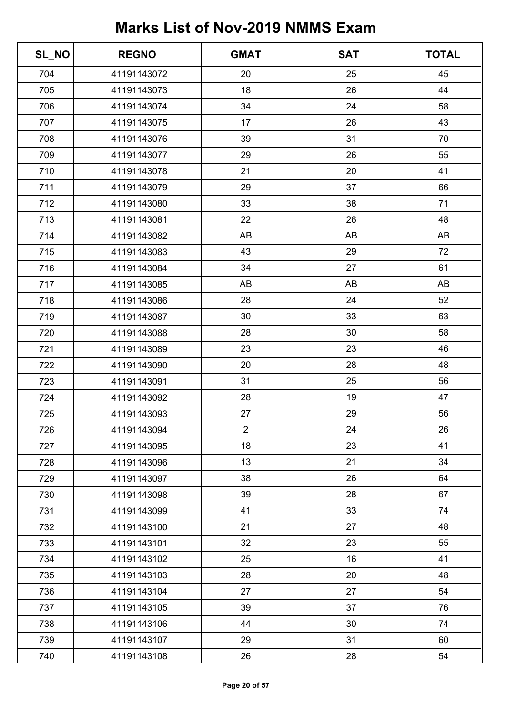| SL_NO | <b>REGNO</b> | <b>GMAT</b>    | <b>SAT</b> | <b>TOTAL</b> |
|-------|--------------|----------------|------------|--------------|
| 704   | 41191143072  | 20             | 25         | 45           |
| 705   | 41191143073  | 18             | 26         | 44           |
| 706   | 41191143074  | 34             | 24         | 58           |
| 707   | 41191143075  | 17             | 26         | 43           |
| 708   | 41191143076  | 39             | 31         | 70           |
| 709   | 41191143077  | 29             | 26         | 55           |
| 710   | 41191143078  | 21             | 20         | 41           |
| 711   | 41191143079  | 29             | 37         | 66           |
| 712   | 41191143080  | 33             | 38         | 71           |
| 713   | 41191143081  | 22             | 26         | 48           |
| 714   | 41191143082  | AB             | AB         | AB           |
| 715   | 41191143083  | 43             | 29         | 72           |
| 716   | 41191143084  | 34             | 27         | 61           |
| 717   | 41191143085  | AB             | AB         | AB           |
| 718   | 41191143086  | 28             | 24         | 52           |
| 719   | 41191143087  | 30             | 33         | 63           |
| 720   | 41191143088  | 28             | 30         | 58           |
| 721   | 41191143089  | 23             | 23         | 46           |
| 722   | 41191143090  | 20             | 28         | 48           |
| 723   | 41191143091  | 31             | 25         | 56           |
| 724   | 41191143092  | 28             | 19         | 47           |
| 725   | 41191143093  | 27             | 29         | 56           |
| 726   | 41191143094  | $\overline{2}$ | 24         | 26           |
| 727   | 41191143095  | 18             | 23         | 41           |
| 728   | 41191143096  | 13             | 21         | 34           |
| 729   | 41191143097  | 38             | 26         | 64           |
| 730   | 41191143098  | 39             | 28         | 67           |
| 731   | 41191143099  | 41             | 33         | 74           |
| 732   | 41191143100  | 21             | 27         | 48           |
| 733   | 41191143101  | 32             | 23         | 55           |
| 734   | 41191143102  | 25             | 16         | 41           |
| 735   | 41191143103  | 28             | 20         | 48           |
| 736   | 41191143104  | 27             | 27         | 54           |
| 737   | 41191143105  | 39             | 37         | 76           |
| 738   | 41191143106  | 44             | 30         | 74           |
| 739   | 41191143107  | 29             | 31         | 60           |
| 740   | 41191143108  | 26             | 28         | 54           |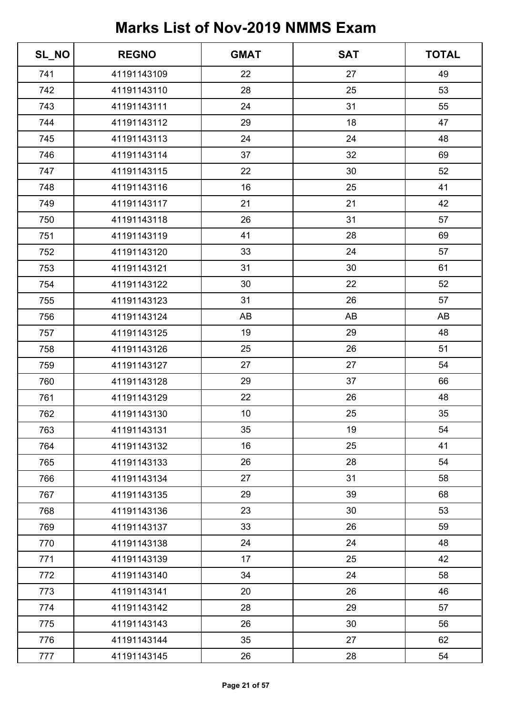| SL_NO | <b>REGNO</b> | <b>GMAT</b> | <b>SAT</b> | <b>TOTAL</b> |
|-------|--------------|-------------|------------|--------------|
| 741   | 41191143109  | 22          | 27         | 49           |
| 742   | 41191143110  | 28          | 25         | 53           |
| 743   | 41191143111  | 24          | 31         | 55           |
| 744   | 41191143112  | 29          | 18         | 47           |
| 745   | 41191143113  | 24          | 24         | 48           |
| 746   | 41191143114  | 37          | 32         | 69           |
| 747   | 41191143115  | 22          | 30         | 52           |
| 748   | 41191143116  | 16          | 25         | 41           |
| 749   | 41191143117  | 21          | 21         | 42           |
| 750   | 41191143118  | 26          | 31         | 57           |
| 751   | 41191143119  | 41          | 28         | 69           |
| 752   | 41191143120  | 33          | 24         | 57           |
| 753   | 41191143121  | 31          | 30         | 61           |
| 754   | 41191143122  | 30          | 22         | 52           |
| 755   | 41191143123  | 31          | 26         | 57           |
| 756   | 41191143124  | AB          | AB         | AB           |
| 757   | 41191143125  | 19          | 29         | 48           |
| 758   | 41191143126  | 25          | 26         | 51           |
| 759   | 41191143127  | 27          | 27         | 54           |
| 760   | 41191143128  | 29          | 37         | 66           |
| 761   | 41191143129  | 22          | 26         | 48           |
| 762   | 41191143130  | 10          | 25         | 35           |
| 763   | 41191143131  | 35          | 19         | 54           |
| 764   | 41191143132  | 16          | 25         | 41           |
| 765   | 41191143133  | 26          | 28         | 54           |
| 766   | 41191143134  | 27          | 31         | 58           |
| 767   | 41191143135  | 29          | 39         | 68           |
| 768   | 41191143136  | 23          | 30         | 53           |
| 769   | 41191143137  | 33          | 26         | 59           |
| 770   | 41191143138  | 24          | 24         | 48           |
| 771   | 41191143139  | 17          | 25         | 42           |
| 772   | 41191143140  | 34          | 24         | 58           |
| 773   | 41191143141  | 20          | 26         | 46           |
| 774   | 41191143142  | 28          | 29         | 57           |
| 775   | 41191143143  | 26          | 30         | 56           |
| 776   | 41191143144  | 35          | 27         | 62           |
| 777   | 41191143145  | 26          | 28         | 54           |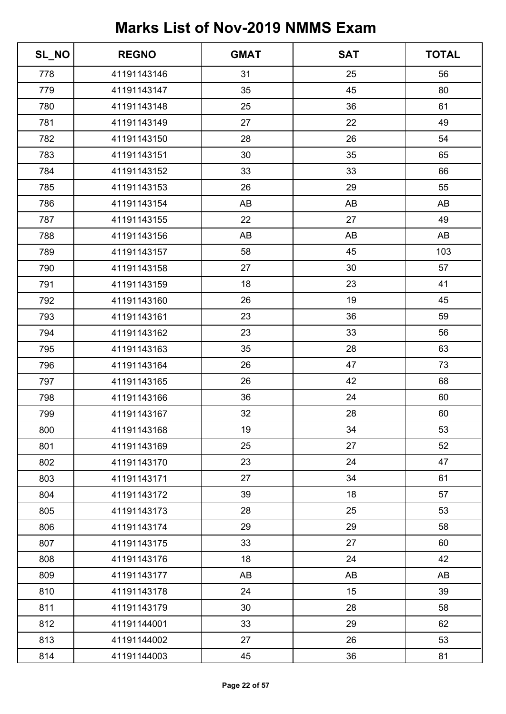| SL_NO | <b>REGNO</b> | <b>GMAT</b> | <b>SAT</b> | <b>TOTAL</b> |
|-------|--------------|-------------|------------|--------------|
| 778   | 41191143146  | 31          | 25         | 56           |
| 779   | 41191143147  | 35          | 45         | 80           |
| 780   | 41191143148  | 25          | 36         | 61           |
| 781   | 41191143149  | 27          | 22         | 49           |
| 782   | 41191143150  | 28          | 26         | 54           |
| 783   | 41191143151  | 30          | 35         | 65           |
| 784   | 41191143152  | 33          | 33         | 66           |
| 785   | 41191143153  | 26          | 29         | 55           |
| 786   | 41191143154  | AB          | AB         | AB           |
| 787   | 41191143155  | 22          | 27         | 49           |
| 788   | 41191143156  | AB          | AB         | AB           |
| 789   | 41191143157  | 58          | 45         | 103          |
| 790   | 41191143158  | 27          | 30         | 57           |
| 791   | 41191143159  | 18          | 23         | 41           |
| 792   | 41191143160  | 26          | 19         | 45           |
| 793   | 41191143161  | 23          | 36         | 59           |
| 794   | 41191143162  | 23          | 33         | 56           |
| 795   | 41191143163  | 35          | 28         | 63           |
| 796   | 41191143164  | 26          | 47         | 73           |
| 797   | 41191143165  | 26          | 42         | 68           |
| 798   | 41191143166  | 36          | 24         | 60           |
| 799   | 41191143167  | 32          | 28         | 60           |
| 800   | 41191143168  | 19          | 34         | 53           |
| 801   | 41191143169  | 25          | 27         | 52           |
| 802   | 41191143170  | 23          | 24         | 47           |
| 803   | 41191143171  | 27          | 34         | 61           |
| 804   | 41191143172  | 39          | 18         | 57           |
| 805   | 41191143173  | 28          | 25         | 53           |
| 806   | 41191143174  | 29          | 29         | 58           |
| 807   | 41191143175  | 33          | 27         | 60           |
| 808   | 41191143176  | 18          | 24         | 42           |
| 809   | 41191143177  | AB          | AB         | AB           |
| 810   | 41191143178  | 24          | 15         | 39           |
| 811   | 41191143179  | 30          | 28         | 58           |
| 812   | 41191144001  | 33          | 29         | 62           |
| 813   | 41191144002  | 27          | 26         | 53           |
| 814   | 41191144003  | 45          | 36         | 81           |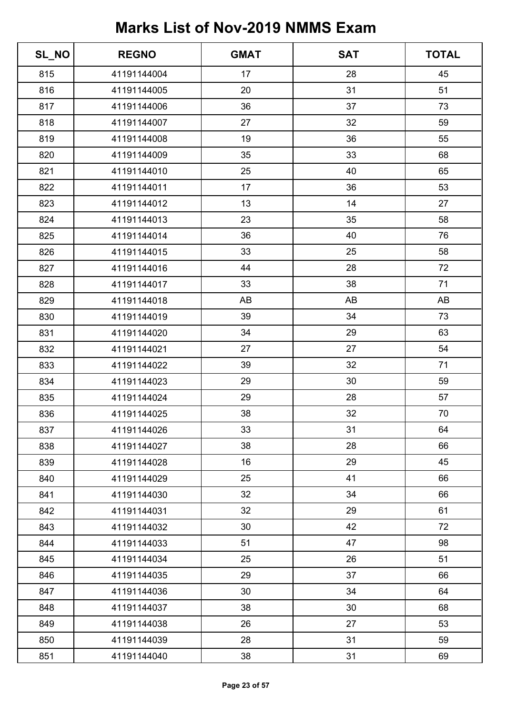| SL_NO | <b>REGNO</b> | <b>GMAT</b> | <b>SAT</b> | <b>TOTAL</b> |
|-------|--------------|-------------|------------|--------------|
| 815   | 41191144004  | 17          | 28         | 45           |
| 816   | 41191144005  | 20          | 31         | 51           |
| 817   | 41191144006  | 36          | 37         | 73           |
| 818   | 41191144007  | 27          | 32         | 59           |
| 819   | 41191144008  | 19          | 36         | 55           |
| 820   | 41191144009  | 35          | 33         | 68           |
| 821   | 41191144010  | 25          | 40         | 65           |
| 822   | 41191144011  | 17          | 36         | 53           |
| 823   | 41191144012  | 13          | 14         | 27           |
| 824   | 41191144013  | 23          | 35         | 58           |
| 825   | 41191144014  | 36          | 40         | 76           |
| 826   | 41191144015  | 33          | 25         | 58           |
| 827   | 41191144016  | 44          | 28         | 72           |
| 828   | 41191144017  | 33          | 38         | 71           |
| 829   | 41191144018  | AB          | AB         | AB           |
| 830   | 41191144019  | 39          | 34         | 73           |
| 831   | 41191144020  | 34          | 29         | 63           |
| 832   | 41191144021  | 27          | 27         | 54           |
| 833   | 41191144022  | 39          | 32         | 71           |
| 834   | 41191144023  | 29          | 30         | 59           |
| 835   | 41191144024  | 29          | 28         | 57           |
| 836   | 41191144025  | 38          | 32         | 70           |
| 837   | 41191144026  | 33          | 31         | 64           |
| 838   | 41191144027  | 38          | 28         | 66           |
| 839   | 41191144028  | 16          | 29         | 45           |
| 840   | 41191144029  | 25          | 41         | 66           |
| 841   | 41191144030  | 32          | 34         | 66           |
| 842   | 41191144031  | 32          | 29         | 61           |
| 843   | 41191144032  | 30          | 42         | 72           |
| 844   | 41191144033  | 51          | 47         | 98           |
| 845   | 41191144034  | 25          | 26         | 51           |
| 846   | 41191144035  | 29          | 37         | 66           |
| 847   | 41191144036  | 30          | 34         | 64           |
| 848   | 41191144037  | 38          | 30         | 68           |
| 849   | 41191144038  | 26          | 27         | 53           |
| 850   | 41191144039  | 28          | 31         | 59           |
| 851   | 41191144040  | 38          | 31         | 69           |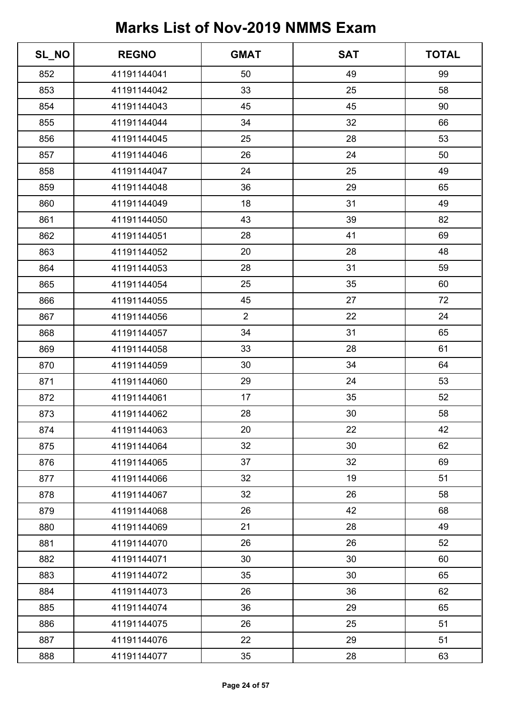| SL_NO | <b>REGNO</b> | <b>GMAT</b>    | <b>SAT</b> | <b>TOTAL</b> |
|-------|--------------|----------------|------------|--------------|
| 852   | 41191144041  | 50             | 49         | 99           |
| 853   | 41191144042  | 33             | 25         | 58           |
| 854   | 41191144043  | 45             | 45         | 90           |
| 855   | 41191144044  | 34             | 32         | 66           |
| 856   | 41191144045  | 25             | 28         | 53           |
| 857   | 41191144046  | 26             | 24         | 50           |
| 858   | 41191144047  | 24             | 25         | 49           |
| 859   | 41191144048  | 36             | 29         | 65           |
| 860   | 41191144049  | 18             | 31         | 49           |
| 861   | 41191144050  | 43             | 39         | 82           |
| 862   | 41191144051  | 28             | 41         | 69           |
| 863   | 41191144052  | 20             | 28         | 48           |
| 864   | 41191144053  | 28             | 31         | 59           |
| 865   | 41191144054  | 25             | 35         | 60           |
| 866   | 41191144055  | 45             | 27         | 72           |
| 867   | 41191144056  | $\overline{2}$ | 22         | 24           |
| 868   | 41191144057  | 34             | 31         | 65           |
| 869   | 41191144058  | 33             | 28         | 61           |
| 870   | 41191144059  | 30             | 34         | 64           |
| 871   | 41191144060  | 29             | 24         | 53           |
| 872   | 41191144061  | 17             | 35         | 52           |
| 873   | 41191144062  | 28             | 30         | 58           |
| 874   | 41191144063  | 20             | 22         | 42           |
| 875   | 41191144064  | 32             | 30         | 62           |
| 876   | 41191144065  | 37             | 32         | 69           |
| 877   | 41191144066  | 32             | 19         | 51           |
| 878   | 41191144067  | 32             | 26         | 58           |
| 879   | 41191144068  | 26             | 42         | 68           |
| 880   | 41191144069  | 21             | 28         | 49           |
| 881   | 41191144070  | 26             | 26         | 52           |
| 882   | 41191144071  | 30             | 30         | 60           |
| 883   | 41191144072  | 35             | 30         | 65           |
| 884   | 41191144073  | 26             | 36         | 62           |
| 885   | 41191144074  | 36             | 29         | 65           |
| 886   | 41191144075  | 26             | 25         | 51           |
| 887   | 41191144076  | 22             | 29         | 51           |
| 888   | 41191144077  | 35             | 28         | 63           |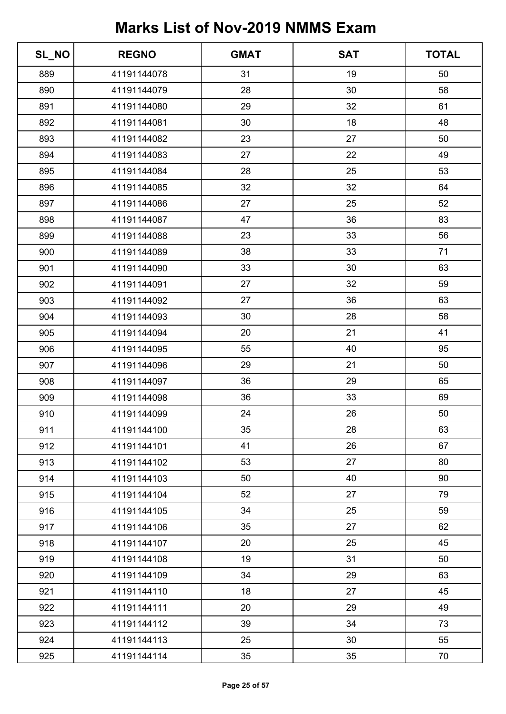| SL_NO | <b>REGNO</b> | <b>GMAT</b> | <b>SAT</b> | <b>TOTAL</b> |
|-------|--------------|-------------|------------|--------------|
| 889   | 41191144078  | 31          | 19         | 50           |
| 890   | 41191144079  | 28          | 30         | 58           |
| 891   | 41191144080  | 29          | 32         | 61           |
| 892   | 41191144081  | 30          | 18         | 48           |
| 893   | 41191144082  | 23          | 27         | 50           |
| 894   | 41191144083  | 27          | 22         | 49           |
| 895   | 41191144084  | 28          | 25         | 53           |
| 896   | 41191144085  | 32          | 32         | 64           |
| 897   | 41191144086  | 27          | 25         | 52           |
| 898   | 41191144087  | 47          | 36         | 83           |
| 899   | 41191144088  | 23          | 33         | 56           |
| 900   | 41191144089  | 38          | 33         | 71           |
| 901   | 41191144090  | 33          | 30         | 63           |
| 902   | 41191144091  | 27          | 32         | 59           |
| 903   | 41191144092  | 27          | 36         | 63           |
| 904   | 41191144093  | 30          | 28         | 58           |
| 905   | 41191144094  | 20          | 21         | 41           |
| 906   | 41191144095  | 55          | 40         | 95           |
| 907   | 41191144096  | 29          | 21         | 50           |
| 908   | 41191144097  | 36          | 29         | 65           |
| 909   | 41191144098  | 36          | 33         | 69           |
| 910   | 41191144099  | 24          | 26         | 50           |
| 911   | 41191144100  | 35          | 28         | 63           |
| 912   | 41191144101  | 41          | 26         | 67           |
| 913   | 41191144102  | 53          | 27         | 80           |
| 914   | 41191144103  | 50          | 40         | 90           |
| 915   | 41191144104  | 52          | 27         | 79           |
| 916   | 41191144105  | 34          | 25         | 59           |
| 917   | 41191144106  | 35          | 27         | 62           |
| 918   | 41191144107  | 20          | 25         | 45           |
| 919   | 41191144108  | 19          | 31         | 50           |
| 920   | 41191144109  | 34          | 29         | 63           |
| 921   | 41191144110  | 18          | 27         | 45           |
| 922   | 41191144111  | 20          | 29         | 49           |
| 923   | 41191144112  | 39          | 34         | 73           |
| 924   | 41191144113  | 25          | 30         | 55           |
| 925   | 41191144114  | 35          | 35         | 70           |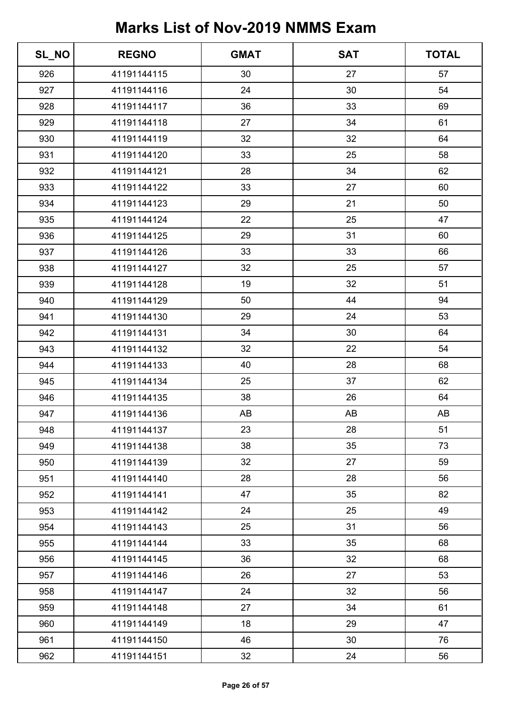| SL_NO | <b>REGNO</b> | <b>GMAT</b> | <b>SAT</b> | <b>TOTAL</b> |
|-------|--------------|-------------|------------|--------------|
| 926   | 41191144115  | 30          | 27         | 57           |
| 927   | 41191144116  | 24          | 30         | 54           |
| 928   | 41191144117  | 36          | 33         | 69           |
| 929   | 41191144118  | 27          | 34         | 61           |
| 930   | 41191144119  | 32          | 32         | 64           |
| 931   | 41191144120  | 33          | 25         | 58           |
| 932   | 41191144121  | 28          | 34         | 62           |
| 933   | 41191144122  | 33          | 27         | 60           |
| 934   | 41191144123  | 29          | 21         | 50           |
| 935   | 41191144124  | 22          | 25         | 47           |
| 936   | 41191144125  | 29          | 31         | 60           |
| 937   | 41191144126  | 33          | 33         | 66           |
| 938   | 41191144127  | 32          | 25         | 57           |
| 939   | 41191144128  | 19          | 32         | 51           |
| 940   | 41191144129  | 50          | 44         | 94           |
| 941   | 41191144130  | 29          | 24         | 53           |
| 942   | 41191144131  | 34          | 30         | 64           |
| 943   | 41191144132  | 32          | 22         | 54           |
| 944   | 41191144133  | 40          | 28         | 68           |
| 945   | 41191144134  | 25          | 37         | 62           |
| 946   | 41191144135  | 38          | 26         | 64           |
| 947   | 41191144136  | AB          | AB         | AB           |
| 948   | 41191144137  | 23          | 28         | 51           |
| 949   | 41191144138  | 38          | 35         | 73           |
| 950   | 41191144139  | 32          | 27         | 59           |
| 951   | 41191144140  | 28          | 28         | 56           |
| 952   | 41191144141  | 47          | 35         | 82           |
| 953   | 41191144142  | 24          | 25         | 49           |
| 954   | 41191144143  | 25          | 31         | 56           |
| 955   | 41191144144  | 33          | 35         | 68           |
| 956   | 41191144145  | 36          | 32         | 68           |
| 957   | 41191144146  | 26          | 27         | 53           |
| 958   | 41191144147  | 24          | 32         | 56           |
| 959   | 41191144148  | 27          | 34         | 61           |
| 960   | 41191144149  | 18          | 29         | 47           |
| 961   | 41191144150  | 46          | 30         | 76           |
| 962   | 41191144151  | 32          | 24         | 56           |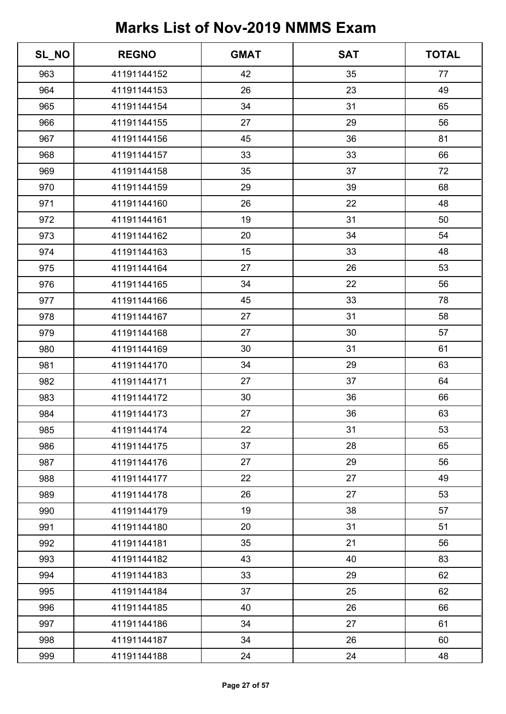| SL_NO | <b>REGNO</b> | <b>GMAT</b> | <b>SAT</b> | <b>TOTAL</b> |
|-------|--------------|-------------|------------|--------------|
| 963   | 41191144152  | 42          | 35         | 77           |
| 964   | 41191144153  | 26          | 23         | 49           |
| 965   | 41191144154  | 34          | 31         | 65           |
| 966   | 41191144155  | 27          | 29         | 56           |
| 967   | 41191144156  | 45          | 36         | 81           |
| 968   | 41191144157  | 33          | 33         | 66           |
| 969   | 41191144158  | 35          | 37         | 72           |
| 970   | 41191144159  | 29          | 39         | 68           |
| 971   | 41191144160  | 26          | 22         | 48           |
| 972   | 41191144161  | 19          | 31         | 50           |
| 973   | 41191144162  | 20          | 34         | 54           |
| 974   | 41191144163  | 15          | 33         | 48           |
| 975   | 41191144164  | 27          | 26         | 53           |
| 976   | 41191144165  | 34          | 22         | 56           |
| 977   | 41191144166  | 45          | 33         | 78           |
| 978   | 41191144167  | 27          | 31         | 58           |
| 979   | 41191144168  | 27          | 30         | 57           |
| 980   | 41191144169  | 30          | 31         | 61           |
| 981   | 41191144170  | 34          | 29         | 63           |
| 982   | 41191144171  | 27          | 37         | 64           |
| 983   | 41191144172  | 30          | 36         | 66           |
| 984   | 41191144173  | 27          | 36         | 63           |
| 985   | 41191144174  | 22          | 31         | 53           |
| 986   | 41191144175  | 37          | 28         | 65           |
| 987   | 41191144176  | 27          | 29         | 56           |
| 988   | 41191144177  | 22          | 27         | 49           |
| 989   | 41191144178  | 26          | 27         | 53           |
| 990   | 41191144179  | 19          | 38         | 57           |
| 991   | 41191144180  | 20          | 31         | 51           |
| 992   | 41191144181  | 35          | 21         | 56           |
| 993   | 41191144182  | 43          | 40         | 83           |
| 994   | 41191144183  | 33          | 29         | 62           |
| 995   | 41191144184  | 37          | 25         | 62           |
| 996   | 41191144185  | 40          | 26         | 66           |
| 997   | 41191144186  | 34          | 27         | 61           |
| 998   | 41191144187  | 34          | 26         | 60           |
| 999   | 41191144188  | 24          | 24         | 48           |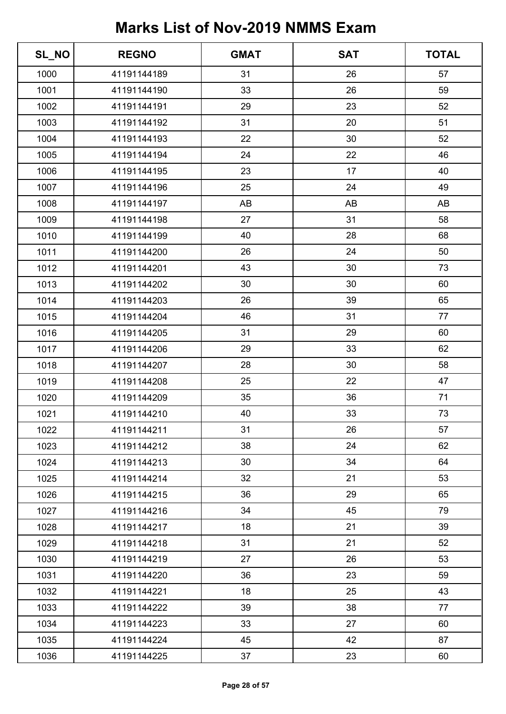| SL_NO | <b>REGNO</b> | <b>GMAT</b> | <b>SAT</b> | <b>TOTAL</b> |
|-------|--------------|-------------|------------|--------------|
| 1000  | 41191144189  | 31          | 26         | 57           |
| 1001  | 41191144190  | 33          | 26         | 59           |
| 1002  | 41191144191  | 29          | 23         | 52           |
| 1003  | 41191144192  | 31          | 20         | 51           |
| 1004  | 41191144193  | 22          | 30         | 52           |
| 1005  | 41191144194  | 24          | 22         | 46           |
| 1006  | 41191144195  | 23          | 17         | 40           |
| 1007  | 41191144196  | 25          | 24         | 49           |
| 1008  | 41191144197  | AB          | AB         | AB           |
| 1009  | 41191144198  | 27          | 31         | 58           |
| 1010  | 41191144199  | 40          | 28         | 68           |
| 1011  | 41191144200  | 26          | 24         | 50           |
| 1012  | 41191144201  | 43          | 30         | 73           |
| 1013  | 41191144202  | 30          | 30         | 60           |
| 1014  | 41191144203  | 26          | 39         | 65           |
| 1015  | 41191144204  | 46          | 31         | 77           |
| 1016  | 41191144205  | 31          | 29         | 60           |
| 1017  | 41191144206  | 29          | 33         | 62           |
| 1018  | 41191144207  | 28          | 30         | 58           |
| 1019  | 41191144208  | 25          | 22         | 47           |
| 1020  | 41191144209  | 35          | 36         | 71           |
| 1021  | 41191144210  | 40          | 33         | 73           |
| 1022  | 41191144211  | 31          | 26         | 57           |
| 1023  | 41191144212  | 38          | 24         | 62           |
| 1024  | 41191144213  | 30          | 34         | 64           |
| 1025  | 41191144214  | 32          | 21         | 53           |
| 1026  | 41191144215  | 36          | 29         | 65           |
| 1027  | 41191144216  | 34          | 45         | 79           |
| 1028  | 41191144217  | 18          | 21         | 39           |
| 1029  | 41191144218  | 31          | 21         | 52           |
| 1030  | 41191144219  | 27          | 26         | 53           |
| 1031  | 41191144220  | 36          | 23         | 59           |
| 1032  | 41191144221  | 18          | 25         | 43           |
| 1033  | 41191144222  | 39          | 38         | 77           |
| 1034  | 41191144223  | 33          | 27         | 60           |
| 1035  | 41191144224  | 45          | 42         | 87           |
| 1036  | 41191144225  | 37          | 23         | 60           |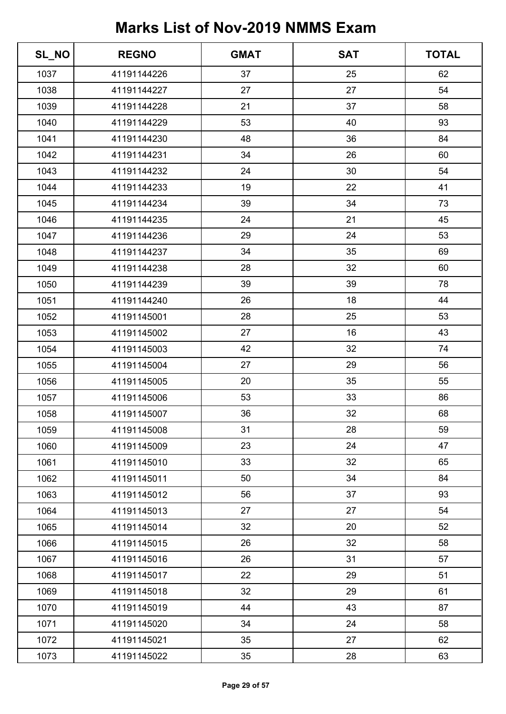| SL_NO | <b>REGNO</b> | <b>GMAT</b> | <b>SAT</b> | <b>TOTAL</b> |
|-------|--------------|-------------|------------|--------------|
| 1037  | 41191144226  | 37          | 25         | 62           |
| 1038  | 41191144227  | 27          | 27         | 54           |
| 1039  | 41191144228  | 21          | 37         | 58           |
| 1040  | 41191144229  | 53          | 40         | 93           |
| 1041  | 41191144230  | 48          | 36         | 84           |
| 1042  | 41191144231  | 34          | 26         | 60           |
| 1043  | 41191144232  | 24          | 30         | 54           |
| 1044  | 41191144233  | 19          | 22         | 41           |
| 1045  | 41191144234  | 39          | 34         | 73           |
| 1046  | 41191144235  | 24          | 21         | 45           |
| 1047  | 41191144236  | 29          | 24         | 53           |
| 1048  | 41191144237  | 34          | 35         | 69           |
| 1049  | 41191144238  | 28          | 32         | 60           |
| 1050  | 41191144239  | 39          | 39         | 78           |
| 1051  | 41191144240  | 26          | 18         | 44           |
| 1052  | 41191145001  | 28          | 25         | 53           |
| 1053  | 41191145002  | 27          | 16         | 43           |
| 1054  | 41191145003  | 42          | 32         | 74           |
| 1055  | 41191145004  | 27          | 29         | 56           |
| 1056  | 41191145005  | 20          | 35         | 55           |
| 1057  | 41191145006  | 53          | 33         | 86           |
| 1058  | 41191145007  | 36          | 32         | 68           |
| 1059  | 41191145008  | 31          | 28         | 59           |
| 1060  | 41191145009  | 23          | 24         | 47           |
| 1061  | 41191145010  | 33          | 32         | 65           |
| 1062  | 41191145011  | 50          | 34         | 84           |
| 1063  | 41191145012  | 56          | 37         | 93           |
| 1064  | 41191145013  | 27          | 27         | 54           |
| 1065  | 41191145014  | 32          | 20         | 52           |
| 1066  | 41191145015  | 26          | 32         | 58           |
| 1067  | 41191145016  | 26          | 31         | 57           |
| 1068  | 41191145017  | 22          | 29         | 51           |
| 1069  | 41191145018  | 32          | 29         | 61           |
| 1070  | 41191145019  | 44          | 43         | 87           |
| 1071  | 41191145020  | 34          | 24         | 58           |
| 1072  | 41191145021  | 35          | 27         | 62           |
| 1073  | 41191145022  | 35          | 28         | 63           |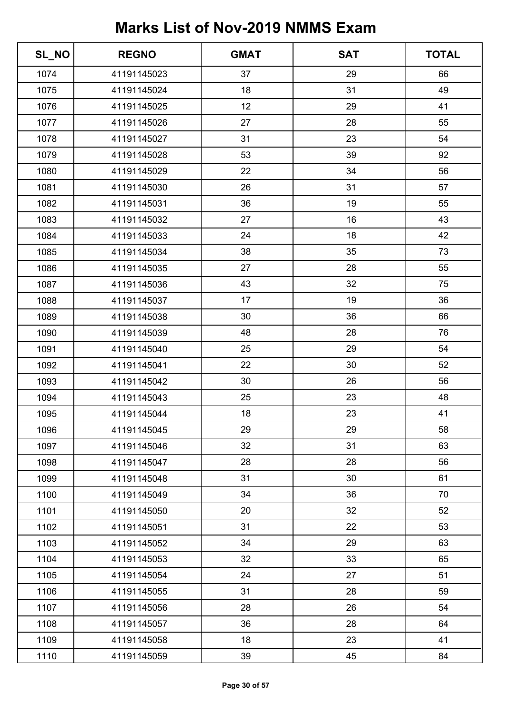| SL_NO | <b>REGNO</b> | <b>GMAT</b> | <b>SAT</b> | <b>TOTAL</b> |
|-------|--------------|-------------|------------|--------------|
| 1074  | 41191145023  | 37          | 29         | 66           |
| 1075  | 41191145024  | 18          | 31         | 49           |
| 1076  | 41191145025  | 12          | 29         | 41           |
| 1077  | 41191145026  | 27          | 28         | 55           |
| 1078  | 41191145027  | 31          | 23         | 54           |
| 1079  | 41191145028  | 53          | 39         | 92           |
| 1080  | 41191145029  | 22          | 34         | 56           |
| 1081  | 41191145030  | 26          | 31         | 57           |
| 1082  | 41191145031  | 36          | 19         | 55           |
| 1083  | 41191145032  | 27          | 16         | 43           |
| 1084  | 41191145033  | 24          | 18         | 42           |
| 1085  | 41191145034  | 38          | 35         | 73           |
| 1086  | 41191145035  | 27          | 28         | 55           |
| 1087  | 41191145036  | 43          | 32         | 75           |
| 1088  | 41191145037  | 17          | 19         | 36           |
| 1089  | 41191145038  | 30          | 36         | 66           |
| 1090  | 41191145039  | 48          | 28         | 76           |
| 1091  | 41191145040  | 25          | 29         | 54           |
| 1092  | 41191145041  | 22          | 30         | 52           |
| 1093  | 41191145042  | 30          | 26         | 56           |
| 1094  | 41191145043  | 25          | 23         | 48           |
| 1095  | 41191145044  | 18          | 23         | 41           |
| 1096  | 41191145045  | 29          | 29         | 58           |
| 1097  | 41191145046  | 32          | 31         | 63           |
| 1098  | 41191145047  | 28          | 28         | 56           |
| 1099  | 41191145048  | 31          | 30         | 61           |
| 1100  | 41191145049  | 34          | 36         | 70           |
| 1101  | 41191145050  | 20          | 32         | 52           |
| 1102  | 41191145051  | 31          | 22         | 53           |
| 1103  | 41191145052  | 34          | 29         | 63           |
| 1104  | 41191145053  | 32          | 33         | 65           |
| 1105  | 41191145054  | 24          | 27         | 51           |
| 1106  | 41191145055  | 31          | 28         | 59           |
| 1107  | 41191145056  | 28          | 26         | 54           |
| 1108  | 41191145057  | 36          | 28         | 64           |
| 1109  | 41191145058  | 18          | 23         | 41           |
| 1110  | 41191145059  | 39          | 45         | 84           |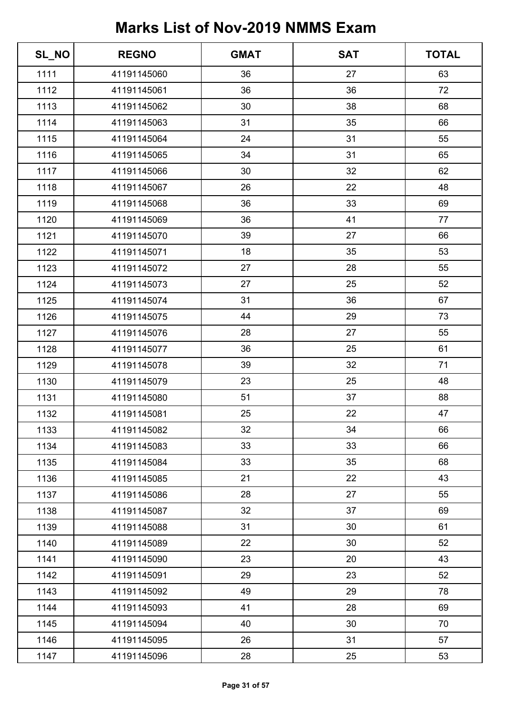| SL_NO | <b>REGNO</b> | <b>GMAT</b> | <b>SAT</b> | <b>TOTAL</b> |
|-------|--------------|-------------|------------|--------------|
| 1111  | 41191145060  | 36          | 27         | 63           |
| 1112  | 41191145061  | 36          | 36         | 72           |
| 1113  | 41191145062  | 30          | 38         | 68           |
| 1114  | 41191145063  | 31          | 35         | 66           |
| 1115  | 41191145064  | 24          | 31         | 55           |
| 1116  | 41191145065  | 34          | 31         | 65           |
| 1117  | 41191145066  | 30          | 32         | 62           |
| 1118  | 41191145067  | 26          | 22         | 48           |
| 1119  | 41191145068  | 36          | 33         | 69           |
| 1120  | 41191145069  | 36          | 41         | 77           |
| 1121  | 41191145070  | 39          | 27         | 66           |
| 1122  | 41191145071  | 18          | 35         | 53           |
| 1123  | 41191145072  | 27          | 28         | 55           |
| 1124  | 41191145073  | 27          | 25         | 52           |
| 1125  | 41191145074  | 31          | 36         | 67           |
| 1126  | 41191145075  | 44          | 29         | 73           |
| 1127  | 41191145076  | 28          | 27         | 55           |
| 1128  | 41191145077  | 36          | 25         | 61           |
| 1129  | 41191145078  | 39          | 32         | 71           |
| 1130  | 41191145079  | 23          | 25         | 48           |
| 1131  | 41191145080  | 51          | 37         | 88           |
| 1132  | 41191145081  | 25          | 22         | 47           |
| 1133  | 41191145082  | 32          | 34         | 66           |
| 1134  | 41191145083  | 33          | 33         | 66           |
| 1135  | 41191145084  | 33          | 35         | 68           |
| 1136  | 41191145085  | 21          | 22         | 43           |
| 1137  | 41191145086  | 28          | 27         | 55           |
| 1138  | 41191145087  | 32          | 37         | 69           |
| 1139  | 41191145088  | 31          | 30         | 61           |
| 1140  | 41191145089  | 22          | 30         | 52           |
| 1141  | 41191145090  | 23          | 20         | 43           |
| 1142  | 41191145091  | 29          | 23         | 52           |
| 1143  | 41191145092  | 49          | 29         | 78           |
| 1144  | 41191145093  | 41          | 28         | 69           |
| 1145  | 41191145094  | 40          | 30         | 70           |
| 1146  | 41191145095  | 26          | 31         | 57           |
| 1147  | 41191145096  | 28          | 25         | 53           |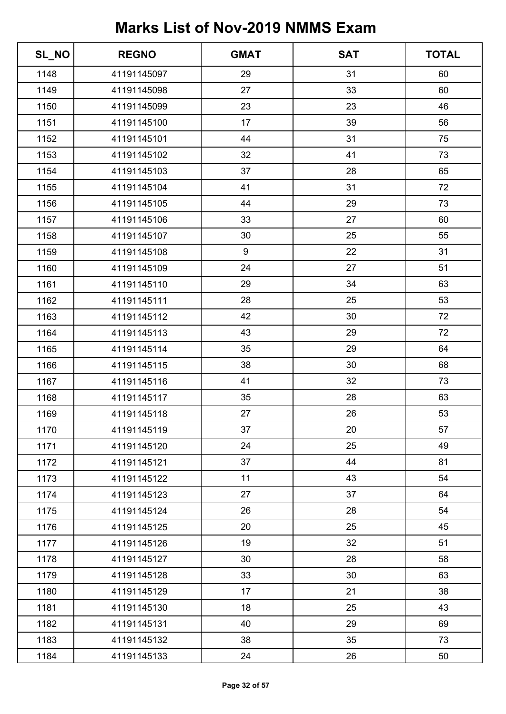| SL_NO | <b>REGNO</b> | <b>GMAT</b>      | <b>SAT</b> | <b>TOTAL</b> |
|-------|--------------|------------------|------------|--------------|
| 1148  | 41191145097  | 29               | 31         | 60           |
| 1149  | 41191145098  | 27               | 33         | 60           |
| 1150  | 41191145099  | 23               | 23         | 46           |
| 1151  | 41191145100  | 17               | 39         | 56           |
| 1152  | 41191145101  | 44               | 31         | 75           |
| 1153  | 41191145102  | 32               | 41         | 73           |
| 1154  | 41191145103  | 37               | 28         | 65           |
| 1155  | 41191145104  | 41               | 31         | 72           |
| 1156  | 41191145105  | 44               | 29         | 73           |
| 1157  | 41191145106  | 33               | 27         | 60           |
| 1158  | 41191145107  | 30               | 25         | 55           |
| 1159  | 41191145108  | $\boldsymbol{9}$ | 22         | 31           |
| 1160  | 41191145109  | 24               | 27         | 51           |
| 1161  | 41191145110  | 29               | 34         | 63           |
| 1162  | 41191145111  | 28               | 25         | 53           |
| 1163  | 41191145112  | 42               | 30         | 72           |
| 1164  | 41191145113  | 43               | 29         | 72           |
| 1165  | 41191145114  | 35               | 29         | 64           |
| 1166  | 41191145115  | 38               | 30         | 68           |
| 1167  | 41191145116  | 41               | 32         | 73           |
| 1168  | 41191145117  | 35               | 28         | 63           |
| 1169  | 41191145118  | 27               | 26         | 53           |
| 1170  | 41191145119  | 37               | 20         | 57           |
| 1171  | 41191145120  | 24               | 25         | 49           |
| 1172  | 41191145121  | 37               | 44         | 81           |
| 1173  | 41191145122  | 11               | 43         | 54           |
| 1174  | 41191145123  | 27               | 37         | 64           |
| 1175  | 41191145124  | 26               | 28         | 54           |
| 1176  | 41191145125  | 20               | 25         | 45           |
| 1177  | 41191145126  | 19               | 32         | 51           |
| 1178  | 41191145127  | 30               | 28         | 58           |
| 1179  | 41191145128  | 33               | 30         | 63           |
| 1180  | 41191145129  | 17               | 21         | 38           |
| 1181  | 41191145130  | 18               | 25         | 43           |
| 1182  | 41191145131  | 40               | 29         | 69           |
| 1183  | 41191145132  | 38               | 35         | 73           |
| 1184  | 41191145133  | 24               | 26         | 50           |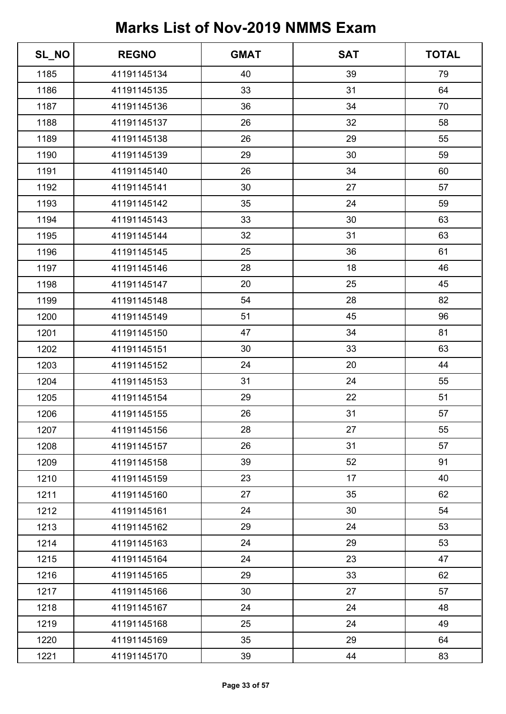| SL_NO | <b>REGNO</b> | <b>GMAT</b> | <b>SAT</b> | <b>TOTAL</b> |
|-------|--------------|-------------|------------|--------------|
| 1185  | 41191145134  | 40          | 39         | 79           |
| 1186  | 41191145135  | 33          | 31         | 64           |
| 1187  | 41191145136  | 36          | 34         | 70           |
| 1188  | 41191145137  | 26          | 32         | 58           |
| 1189  | 41191145138  | 26          | 29         | 55           |
| 1190  | 41191145139  | 29          | 30         | 59           |
| 1191  | 41191145140  | 26          | 34         | 60           |
| 1192  | 41191145141  | 30          | 27         | 57           |
| 1193  | 41191145142  | 35          | 24         | 59           |
| 1194  | 41191145143  | 33          | 30         | 63           |
| 1195  | 41191145144  | 32          | 31         | 63           |
| 1196  | 41191145145  | 25          | 36         | 61           |
| 1197  | 41191145146  | 28          | 18         | 46           |
| 1198  | 41191145147  | 20          | 25         | 45           |
| 1199  | 41191145148  | 54          | 28         | 82           |
| 1200  | 41191145149  | 51          | 45         | 96           |
| 1201  | 41191145150  | 47          | 34         | 81           |
| 1202  | 41191145151  | 30          | 33         | 63           |
| 1203  | 41191145152  | 24          | 20         | 44           |
| 1204  | 41191145153  | 31          | 24         | 55           |
| 1205  | 41191145154  | 29          | 22         | 51           |
| 1206  | 41191145155  | 26          | 31         | 57           |
| 1207  | 41191145156  | 28          | 27         | 55           |
| 1208  | 41191145157  | 26          | 31         | 57           |
| 1209  | 41191145158  | 39          | 52         | 91           |
| 1210  | 41191145159  | 23          | 17         | 40           |
| 1211  | 41191145160  | 27          | 35         | 62           |
| 1212  | 41191145161  | 24          | 30         | 54           |
| 1213  | 41191145162  | 29          | 24         | 53           |
| 1214  | 41191145163  | 24          | 29         | 53           |
| 1215  | 41191145164  | 24          | 23         | 47           |
| 1216  | 41191145165  | 29          | 33         | 62           |
| 1217  | 41191145166  | 30          | 27         | 57           |
| 1218  | 41191145167  | 24          | 24         | 48           |
| 1219  | 41191145168  | 25          | 24         | 49           |
| 1220  | 41191145169  | 35          | 29         | 64           |
| 1221  | 41191145170  | 39          | 44         | 83           |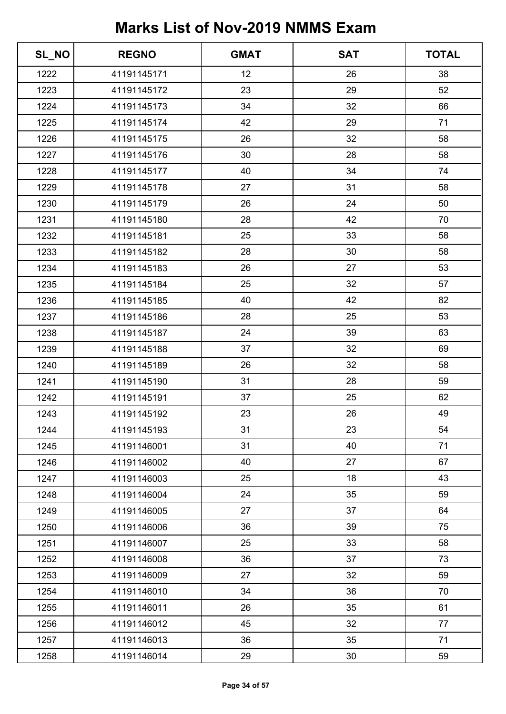| SL_NO | <b>REGNO</b> | <b>GMAT</b> | <b>SAT</b> | <b>TOTAL</b> |
|-------|--------------|-------------|------------|--------------|
| 1222  | 41191145171  | 12          | 26         | 38           |
| 1223  | 41191145172  | 23          | 29         | 52           |
| 1224  | 41191145173  | 34          | 32         | 66           |
| 1225  | 41191145174  | 42          | 29         | 71           |
| 1226  | 41191145175  | 26          | 32         | 58           |
| 1227  | 41191145176  | 30          | 28         | 58           |
| 1228  | 41191145177  | 40          | 34         | 74           |
| 1229  | 41191145178  | 27          | 31         | 58           |
| 1230  | 41191145179  | 26          | 24         | 50           |
| 1231  | 41191145180  | 28          | 42         | 70           |
| 1232  | 41191145181  | 25          | 33         | 58           |
| 1233  | 41191145182  | 28          | 30         | 58           |
| 1234  | 41191145183  | 26          | 27         | 53           |
| 1235  | 41191145184  | 25          | 32         | 57           |
| 1236  | 41191145185  | 40          | 42         | 82           |
| 1237  | 41191145186  | 28          | 25         | 53           |
| 1238  | 41191145187  | 24          | 39         | 63           |
| 1239  | 41191145188  | 37          | 32         | 69           |
| 1240  | 41191145189  | 26          | 32         | 58           |
| 1241  | 41191145190  | 31          | 28         | 59           |
| 1242  | 41191145191  | 37          | 25         | 62           |
| 1243  | 41191145192  | 23          | 26         | 49           |
| 1244  | 41191145193  | 31          | 23         | 54           |
| 1245  | 41191146001  | 31          | 40         | 71           |
| 1246  | 41191146002  | 40          | 27         | 67           |
| 1247  | 41191146003  | 25          | 18         | 43           |
| 1248  | 41191146004  | 24          | 35         | 59           |
| 1249  | 41191146005  | 27          | 37         | 64           |
| 1250  | 41191146006  | 36          | 39         | 75           |
| 1251  | 41191146007  | 25          | 33         | 58           |
| 1252  | 41191146008  | 36          | 37         | 73           |
| 1253  | 41191146009  | 27          | 32         | 59           |
| 1254  | 41191146010  | 34          | 36         | 70           |
| 1255  | 41191146011  | 26          | 35         | 61           |
| 1256  | 41191146012  | 45          | 32         | 77           |
| 1257  | 41191146013  | 36          | 35         | 71           |
| 1258  | 41191146014  | 29          | 30         | 59           |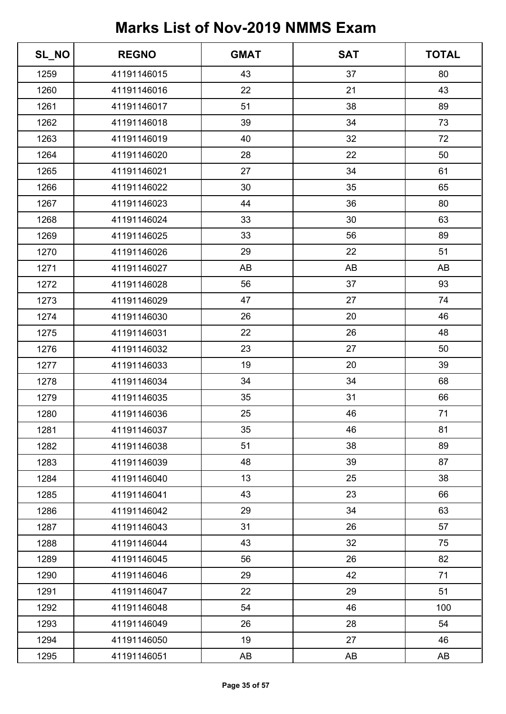| SL_NO | <b>REGNO</b> | <b>GMAT</b> | <b>SAT</b> | <b>TOTAL</b> |
|-------|--------------|-------------|------------|--------------|
| 1259  | 41191146015  | 43          | 37         | 80           |
| 1260  | 41191146016  | 22          | 21         | 43           |
| 1261  | 41191146017  | 51          | 38         | 89           |
| 1262  | 41191146018  | 39          | 34         | 73           |
| 1263  | 41191146019  | 40          | 32         | 72           |
| 1264  | 41191146020  | 28          | 22         | 50           |
| 1265  | 41191146021  | 27          | 34         | 61           |
| 1266  | 41191146022  | 30          | 35         | 65           |
| 1267  | 41191146023  | 44          | 36         | 80           |
| 1268  | 41191146024  | 33          | 30         | 63           |
| 1269  | 41191146025  | 33          | 56         | 89           |
| 1270  | 41191146026  | 29          | 22         | 51           |
| 1271  | 41191146027  | AB          | AB         | AB           |
| 1272  | 41191146028  | 56          | 37         | 93           |
| 1273  | 41191146029  | 47          | 27         | 74           |
| 1274  | 41191146030  | 26          | 20         | 46           |
| 1275  | 41191146031  | 22          | 26         | 48           |
| 1276  | 41191146032  | 23          | 27         | 50           |
| 1277  | 41191146033  | 19          | 20         | 39           |
| 1278  | 41191146034  | 34          | 34         | 68           |
| 1279  | 41191146035  | 35          | 31         | 66           |
| 1280  | 41191146036  | 25          | 46         | 71           |
| 1281  | 41191146037  | 35          | 46         | 81           |
| 1282  | 41191146038  | 51          | 38         | 89           |
| 1283  | 41191146039  | 48          | 39         | 87           |
| 1284  | 41191146040  | 13          | 25         | 38           |
| 1285  | 41191146041  | 43          | 23         | 66           |
| 1286  | 41191146042  | 29          | 34         | 63           |
| 1287  | 41191146043  | 31          | 26         | 57           |
| 1288  | 41191146044  | 43          | 32         | 75           |
| 1289  | 41191146045  | 56          | 26         | 82           |
| 1290  | 41191146046  | 29          | 42         | 71           |
| 1291  | 41191146047  | 22          | 29         | 51           |
| 1292  | 41191146048  | 54          | 46         | 100          |
| 1293  | 41191146049  | 26          | 28         | 54           |
| 1294  | 41191146050  | 19          | 27         | 46           |
| 1295  | 41191146051  | AB          | AB         | AB           |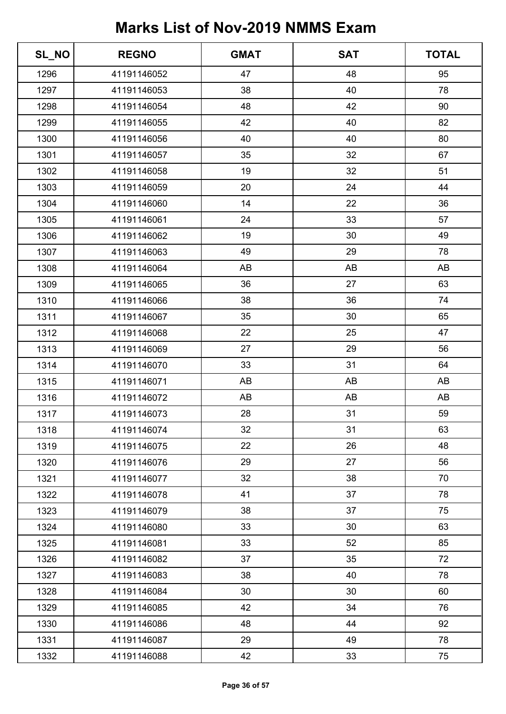| SL_NO | <b>REGNO</b> | <b>GMAT</b> | <b>SAT</b> | <b>TOTAL</b> |
|-------|--------------|-------------|------------|--------------|
| 1296  | 41191146052  | 47          | 48         | 95           |
| 1297  | 41191146053  | 38          | 40         | 78           |
| 1298  | 41191146054  | 48          | 42         | 90           |
| 1299  | 41191146055  | 42          | 40         | 82           |
| 1300  | 41191146056  | 40          | 40         | 80           |
| 1301  | 41191146057  | 35          | 32         | 67           |
| 1302  | 41191146058  | 19          | 32         | 51           |
| 1303  | 41191146059  | 20          | 24         | 44           |
| 1304  | 41191146060  | 14          | 22         | 36           |
| 1305  | 41191146061  | 24          | 33         | 57           |
| 1306  | 41191146062  | 19          | 30         | 49           |
| 1307  | 41191146063  | 49          | 29         | 78           |
| 1308  | 41191146064  | AB          | AB         | AB           |
| 1309  | 41191146065  | 36          | 27         | 63           |
| 1310  | 41191146066  | 38          | 36         | 74           |
| 1311  | 41191146067  | 35          | 30         | 65           |
| 1312  | 41191146068  | 22          | 25         | 47           |
| 1313  | 41191146069  | 27          | 29         | 56           |
| 1314  | 41191146070  | 33          | 31         | 64           |
| 1315  | 41191146071  | AB          | AB         | AB           |
| 1316  | 41191146072  | AB          | AB         | AB           |
| 1317  | 41191146073  | 28          | 31         | 59           |
| 1318  | 41191146074  | 32          | 31         | 63           |
| 1319  | 41191146075  | 22          | 26         | 48           |
| 1320  | 41191146076  | 29          | 27         | 56           |
| 1321  | 41191146077  | 32          | 38         | 70           |
| 1322  | 41191146078  | 41          | 37         | 78           |
| 1323  | 41191146079  | 38          | 37         | 75           |
| 1324  | 41191146080  | 33          | 30         | 63           |
| 1325  | 41191146081  | 33          | 52         | 85           |
| 1326  | 41191146082  | 37          | 35         | 72           |
| 1327  | 41191146083  | 38          | 40         | 78           |
| 1328  | 41191146084  | 30          | 30         | 60           |
| 1329  | 41191146085  | 42          | 34         | 76           |
| 1330  | 41191146086  | 48          | 44         | 92           |
| 1331  | 41191146087  | 29          | 49         | 78           |
| 1332  | 41191146088  | 42          | 33         | 75           |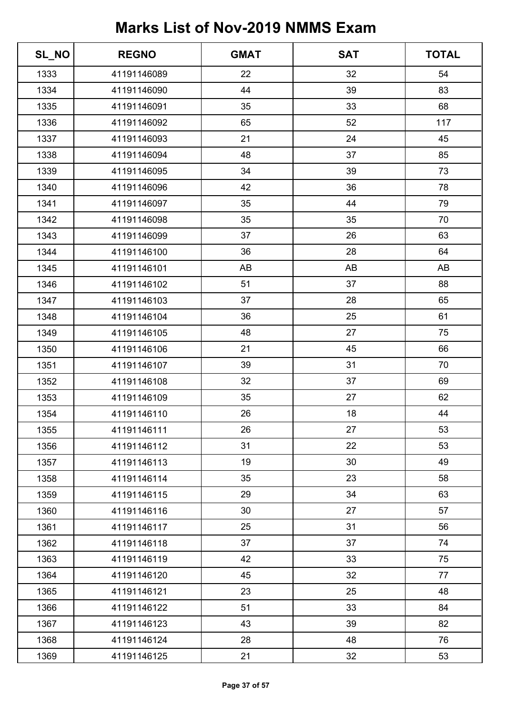| SL_NO | <b>REGNO</b> | <b>GMAT</b> | <b>SAT</b> | <b>TOTAL</b> |
|-------|--------------|-------------|------------|--------------|
| 1333  | 41191146089  | 22          | 32         | 54           |
| 1334  | 41191146090  | 44          | 39         | 83           |
| 1335  | 41191146091  | 35          | 33         | 68           |
| 1336  | 41191146092  | 65          | 52         | 117          |
| 1337  | 41191146093  | 21          | 24         | 45           |
| 1338  | 41191146094  | 48          | 37         | 85           |
| 1339  | 41191146095  | 34          | 39         | 73           |
| 1340  | 41191146096  | 42          | 36         | 78           |
| 1341  | 41191146097  | 35          | 44         | 79           |
| 1342  | 41191146098  | 35          | 35         | 70           |
| 1343  | 41191146099  | 37          | 26         | 63           |
| 1344  | 41191146100  | 36          | 28         | 64           |
| 1345  | 41191146101  | AB          | AB         | AB           |
| 1346  | 41191146102  | 51          | 37         | 88           |
| 1347  | 41191146103  | 37          | 28         | 65           |
| 1348  | 41191146104  | 36          | 25         | 61           |
| 1349  | 41191146105  | 48          | 27         | 75           |
| 1350  | 41191146106  | 21          | 45         | 66           |
| 1351  | 41191146107  | 39          | 31         | 70           |
| 1352  | 41191146108  | 32          | 37         | 69           |
| 1353  | 41191146109  | 35          | 27         | 62           |
| 1354  | 41191146110  | 26          | 18         | 44           |
| 1355  | 41191146111  | 26          | 27         | 53           |
| 1356  | 41191146112  | 31          | 22         | 53           |
| 1357  | 41191146113  | 19          | 30         | 49           |
| 1358  | 41191146114  | 35          | 23         | 58           |
| 1359  | 41191146115  | 29          | 34         | 63           |
| 1360  | 41191146116  | 30          | 27         | 57           |
| 1361  | 41191146117  | 25          | 31         | 56           |
| 1362  | 41191146118  | 37          | 37         | 74           |
| 1363  | 41191146119  | 42          | 33         | 75           |
| 1364  | 41191146120  | 45          | 32         | 77           |
| 1365  | 41191146121  | 23          | 25         | 48           |
| 1366  | 41191146122  | 51          | 33         | 84           |
| 1367  | 41191146123  | 43          | 39         | 82           |
| 1368  | 41191146124  | 28          | 48         | 76           |
| 1369  | 41191146125  | 21          | 32         | 53           |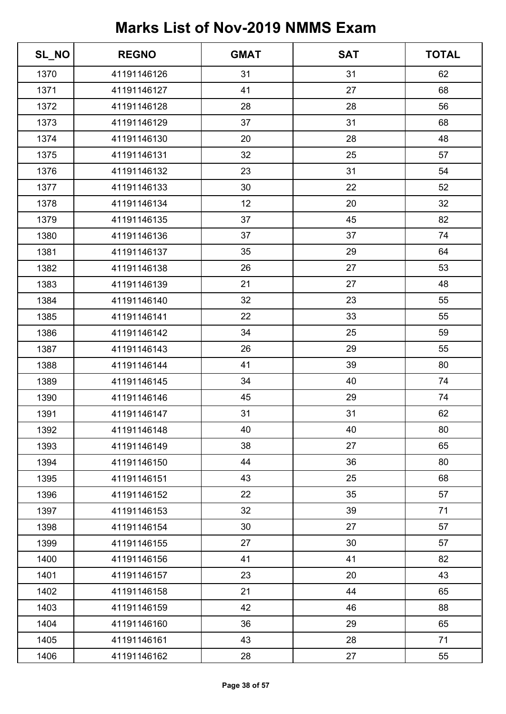| SL_NO | <b>REGNO</b> | <b>GMAT</b> | <b>SAT</b> | <b>TOTAL</b> |
|-------|--------------|-------------|------------|--------------|
| 1370  | 41191146126  | 31          | 31         | 62           |
| 1371  | 41191146127  | 41          | 27         | 68           |
| 1372  | 41191146128  | 28          | 28         | 56           |
| 1373  | 41191146129  | 37          | 31         | 68           |
| 1374  | 41191146130  | 20          | 28         | 48           |
| 1375  | 41191146131  | 32          | 25         | 57           |
| 1376  | 41191146132  | 23          | 31         | 54           |
| 1377  | 41191146133  | 30          | 22         | 52           |
| 1378  | 41191146134  | 12          | 20         | 32           |
| 1379  | 41191146135  | 37          | 45         | 82           |
| 1380  | 41191146136  | 37          | 37         | 74           |
| 1381  | 41191146137  | 35          | 29         | 64           |
| 1382  | 41191146138  | 26          | 27         | 53           |
| 1383  | 41191146139  | 21          | 27         | 48           |
| 1384  | 41191146140  | 32          | 23         | 55           |
| 1385  | 41191146141  | 22          | 33         | 55           |
| 1386  | 41191146142  | 34          | 25         | 59           |
| 1387  | 41191146143  | 26          | 29         | 55           |
| 1388  | 41191146144  | 41          | 39         | 80           |
| 1389  | 41191146145  | 34          | 40         | 74           |
| 1390  | 41191146146  | 45          | 29         | 74           |
| 1391  | 41191146147  | 31          | 31         | 62           |
| 1392  | 41191146148  | 40          | 40         | 80           |
| 1393  | 41191146149  | 38          | 27         | 65           |
| 1394  | 41191146150  | 44          | 36         | 80           |
| 1395  | 41191146151  | 43          | 25         | 68           |
| 1396  | 41191146152  | 22          | 35         | 57           |
| 1397  | 41191146153  | 32          | 39         | 71           |
| 1398  | 41191146154  | 30          | 27         | 57           |
| 1399  | 41191146155  | 27          | 30         | 57           |
| 1400  | 41191146156  | 41          | 41         | 82           |
| 1401  | 41191146157  | 23          | 20         | 43           |
| 1402  | 41191146158  | 21          | 44         | 65           |
| 1403  | 41191146159  | 42          | 46         | 88           |
| 1404  | 41191146160  | 36          | 29         | 65           |
| 1405  | 41191146161  | 43          | 28         | 71           |
| 1406  | 41191146162  | 28          | 27         | 55           |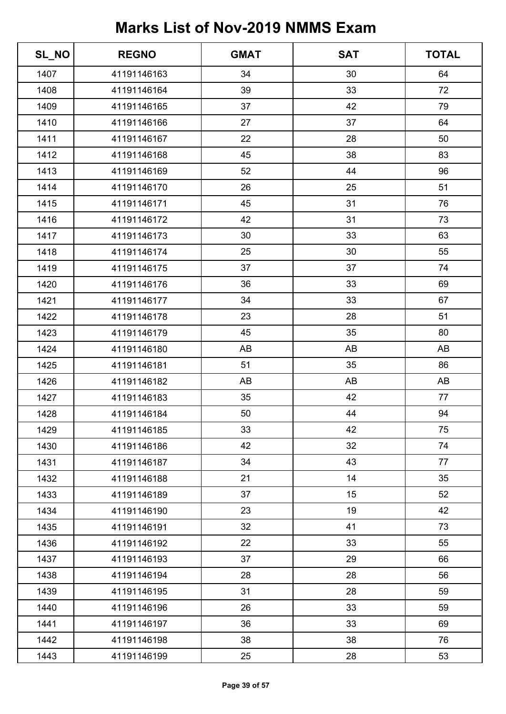| SL_NO | <b>REGNO</b> | <b>GMAT</b> | <b>SAT</b> | <b>TOTAL</b> |
|-------|--------------|-------------|------------|--------------|
| 1407  | 41191146163  | 34          | 30         | 64           |
| 1408  | 41191146164  | 39          | 33         | 72           |
| 1409  | 41191146165  | 37          | 42         | 79           |
| 1410  | 41191146166  | 27          | 37         | 64           |
| 1411  | 41191146167  | 22          | 28         | 50           |
| 1412  | 41191146168  | 45          | 38         | 83           |
| 1413  | 41191146169  | 52          | 44         | 96           |
| 1414  | 41191146170  | 26          | 25         | 51           |
| 1415  | 41191146171  | 45          | 31         | 76           |
| 1416  | 41191146172  | 42          | 31         | 73           |
| 1417  | 41191146173  | 30          | 33         | 63           |
| 1418  | 41191146174  | 25          | 30         | 55           |
| 1419  | 41191146175  | 37          | 37         | 74           |
| 1420  | 41191146176  | 36          | 33         | 69           |
| 1421  | 41191146177  | 34          | 33         | 67           |
| 1422  | 41191146178  | 23          | 28         | 51           |
| 1423  | 41191146179  | 45          | 35         | 80           |
| 1424  | 41191146180  | AB          | AB         | AB           |
| 1425  | 41191146181  | 51          | 35         | 86           |
| 1426  | 41191146182  | AB          | AB         | AB           |
| 1427  | 41191146183  | 35          | 42         | 77           |
| 1428  | 41191146184  | 50          | 44         | 94           |
| 1429  | 41191146185  | 33          | 42         | 75           |
| 1430  | 41191146186  | 42          | 32         | 74           |
| 1431  | 41191146187  | 34          | 43         | 77           |
| 1432  | 41191146188  | 21          | 14         | 35           |
| 1433  | 41191146189  | 37          | 15         | 52           |
| 1434  | 41191146190  | 23          | 19         | 42           |
| 1435  | 41191146191  | 32          | 41         | 73           |
| 1436  | 41191146192  | 22          | 33         | 55           |
| 1437  | 41191146193  | 37          | 29         | 66           |
| 1438  | 41191146194  | 28          | 28         | 56           |
| 1439  | 41191146195  | 31          | 28         | 59           |
| 1440  | 41191146196  | 26          | 33         | 59           |
| 1441  | 41191146197  | 36          | 33         | 69           |
| 1442  | 41191146198  | 38          | 38         | 76           |
| 1443  | 41191146199  | 25          | 28         | 53           |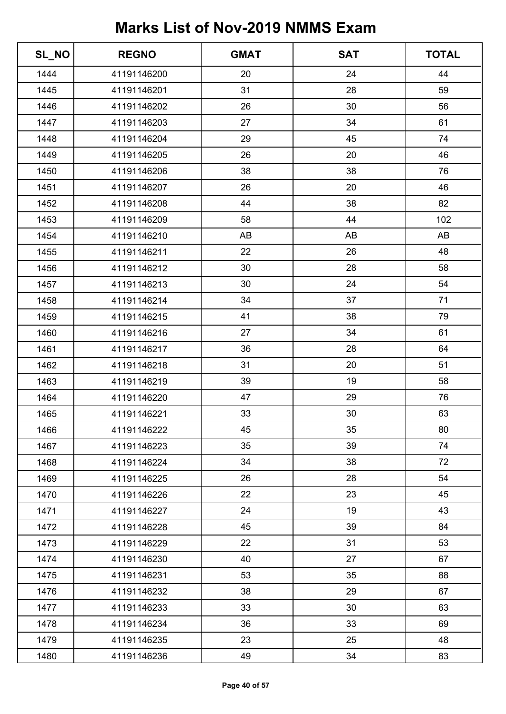| SL_NO | <b>REGNO</b> | <b>GMAT</b> | <b>SAT</b> | <b>TOTAL</b> |
|-------|--------------|-------------|------------|--------------|
| 1444  | 41191146200  | 20          | 24         | 44           |
| 1445  | 41191146201  | 31          | 28         | 59           |
| 1446  | 41191146202  | 26          | 30         | 56           |
| 1447  | 41191146203  | 27          | 34         | 61           |
| 1448  | 41191146204  | 29          | 45         | 74           |
| 1449  | 41191146205  | 26          | 20         | 46           |
| 1450  | 41191146206  | 38          | 38         | 76           |
| 1451  | 41191146207  | 26          | 20         | 46           |
| 1452  | 41191146208  | 44          | 38         | 82           |
| 1453  | 41191146209  | 58          | 44         | 102          |
| 1454  | 41191146210  | AB          | AB         | AB           |
| 1455  | 41191146211  | 22          | 26         | 48           |
| 1456  | 41191146212  | 30          | 28         | 58           |
| 1457  | 41191146213  | 30          | 24         | 54           |
| 1458  | 41191146214  | 34          | 37         | 71           |
| 1459  | 41191146215  | 41          | 38         | 79           |
| 1460  | 41191146216  | 27          | 34         | 61           |
| 1461  | 41191146217  | 36          | 28         | 64           |
| 1462  | 41191146218  | 31          | 20         | 51           |
| 1463  | 41191146219  | 39          | 19         | 58           |
| 1464  | 41191146220  | 47          | 29         | 76           |
| 1465  | 41191146221  | 33          | 30         | 63           |
| 1466  | 41191146222  | 45          | 35         | 80           |
| 1467  | 41191146223  | 35          | 39         | 74           |
| 1468  | 41191146224  | 34          | 38         | 72           |
| 1469  | 41191146225  | 26          | 28         | 54           |
| 1470  | 41191146226  | 22          | 23         | 45           |
| 1471  | 41191146227  | 24          | 19         | 43           |
| 1472  | 41191146228  | 45          | 39         | 84           |
| 1473  | 41191146229  | 22          | 31         | 53           |
| 1474  | 41191146230  | 40          | 27         | 67           |
| 1475  | 41191146231  | 53          | 35         | 88           |
| 1476  | 41191146232  | 38          | 29         | 67           |
| 1477  | 41191146233  | 33          | 30         | 63           |
| 1478  | 41191146234  | 36          | 33         | 69           |
| 1479  | 41191146235  | 23          | 25         | 48           |
| 1480  | 41191146236  | 49          | 34         | 83           |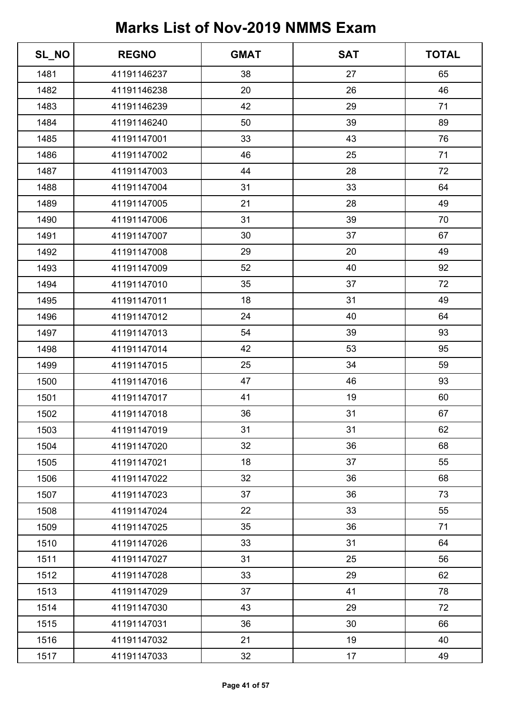| SL_NO | <b>REGNO</b> | <b>GMAT</b> | <b>SAT</b> | <b>TOTAL</b> |
|-------|--------------|-------------|------------|--------------|
| 1481  | 41191146237  | 38          | 27         | 65           |
| 1482  | 41191146238  | 20          | 26         | 46           |
| 1483  | 41191146239  | 42          | 29         | 71           |
| 1484  | 41191146240  | 50          | 39         | 89           |
| 1485  | 41191147001  | 33          | 43         | 76           |
| 1486  | 41191147002  | 46          | 25         | 71           |
| 1487  | 41191147003  | 44          | 28         | 72           |
| 1488  | 41191147004  | 31          | 33         | 64           |
| 1489  | 41191147005  | 21          | 28         | 49           |
| 1490  | 41191147006  | 31          | 39         | 70           |
| 1491  | 41191147007  | 30          | 37         | 67           |
| 1492  | 41191147008  | 29          | 20         | 49           |
| 1493  | 41191147009  | 52          | 40         | 92           |
| 1494  | 41191147010  | 35          | 37         | 72           |
| 1495  | 41191147011  | 18          | 31         | 49           |
| 1496  | 41191147012  | 24          | 40         | 64           |
| 1497  | 41191147013  | 54          | 39         | 93           |
| 1498  | 41191147014  | 42          | 53         | 95           |
| 1499  | 41191147015  | 25          | 34         | 59           |
| 1500  | 41191147016  | 47          | 46         | 93           |
| 1501  | 41191147017  | 41          | 19         | 60           |
| 1502  | 41191147018  | 36          | 31         | 67           |
| 1503  | 41191147019  | 31          | 31         | 62           |
| 1504  | 41191147020  | 32          | 36         | 68           |
| 1505  | 41191147021  | 18          | 37         | 55           |
| 1506  | 41191147022  | 32          | 36         | 68           |
| 1507  | 41191147023  | 37          | 36         | 73           |
| 1508  | 41191147024  | 22          | 33         | 55           |
| 1509  | 41191147025  | 35          | 36         | 71           |
| 1510  | 41191147026  | 33          | 31         | 64           |
| 1511  | 41191147027  | 31          | 25         | 56           |
| 1512  | 41191147028  | 33          | 29         | 62           |
| 1513  | 41191147029  | 37          | 41         | 78           |
| 1514  | 41191147030  | 43          | 29         | 72           |
| 1515  | 41191147031  | 36          | 30         | 66           |
| 1516  | 41191147032  | 21          | 19         | 40           |
| 1517  | 41191147033  | 32          | 17         | 49           |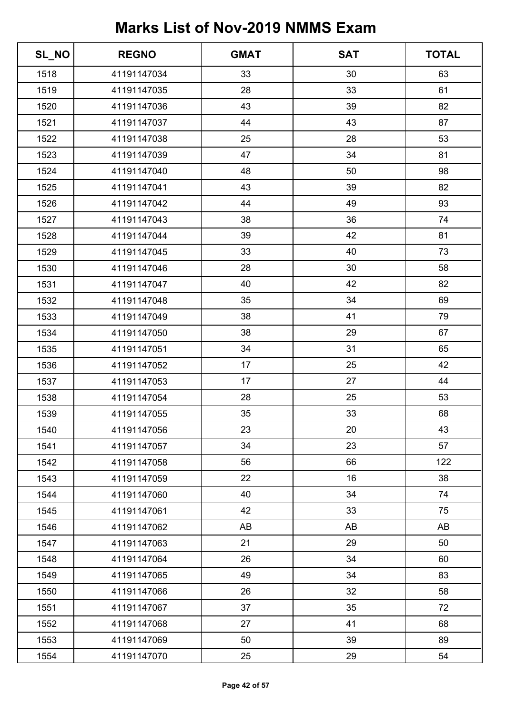| SL_NO | <b>REGNO</b> | <b>GMAT</b> | <b>SAT</b> | <b>TOTAL</b> |
|-------|--------------|-------------|------------|--------------|
| 1518  | 41191147034  | 33          | 30         | 63           |
| 1519  | 41191147035  | 28          | 33         | 61           |
| 1520  | 41191147036  | 43          | 39         | 82           |
| 1521  | 41191147037  | 44          | 43         | 87           |
| 1522  | 41191147038  | 25          | 28         | 53           |
| 1523  | 41191147039  | 47          | 34         | 81           |
| 1524  | 41191147040  | 48          | 50         | 98           |
| 1525  | 41191147041  | 43          | 39         | 82           |
| 1526  | 41191147042  | 44          | 49         | 93           |
| 1527  | 41191147043  | 38          | 36         | 74           |
| 1528  | 41191147044  | 39          | 42         | 81           |
| 1529  | 41191147045  | 33          | 40         | 73           |
| 1530  | 41191147046  | 28          | 30         | 58           |
| 1531  | 41191147047  | 40          | 42         | 82           |
| 1532  | 41191147048  | 35          | 34         | 69           |
| 1533  | 41191147049  | 38          | 41         | 79           |
| 1534  | 41191147050  | 38          | 29         | 67           |
| 1535  | 41191147051  | 34          | 31         | 65           |
| 1536  | 41191147052  | 17          | 25         | 42           |
| 1537  | 41191147053  | 17          | 27         | 44           |
| 1538  | 41191147054  | 28          | 25         | 53           |
| 1539  | 41191147055  | 35          | 33         | 68           |
| 1540  | 41191147056  | 23          | 20         | 43           |
| 1541  | 41191147057  | 34          | 23         | 57           |
| 1542  | 41191147058  | 56          | 66         | 122          |
| 1543  | 41191147059  | 22          | 16         | 38           |
| 1544  | 41191147060  | 40          | 34         | 74           |
| 1545  | 41191147061  | 42          | 33         | 75           |
| 1546  | 41191147062  | AB          | AB         | AB           |
| 1547  | 41191147063  | 21          | 29         | 50           |
| 1548  | 41191147064  | 26          | 34         | 60           |
| 1549  | 41191147065  | 49          | 34         | 83           |
| 1550  | 41191147066  | 26          | 32         | 58           |
| 1551  | 41191147067  | 37          | 35         | 72           |
| 1552  | 41191147068  | 27          | 41         | 68           |
| 1553  | 41191147069  | 50          | 39         | 89           |
| 1554  | 41191147070  | 25          | 29         | 54           |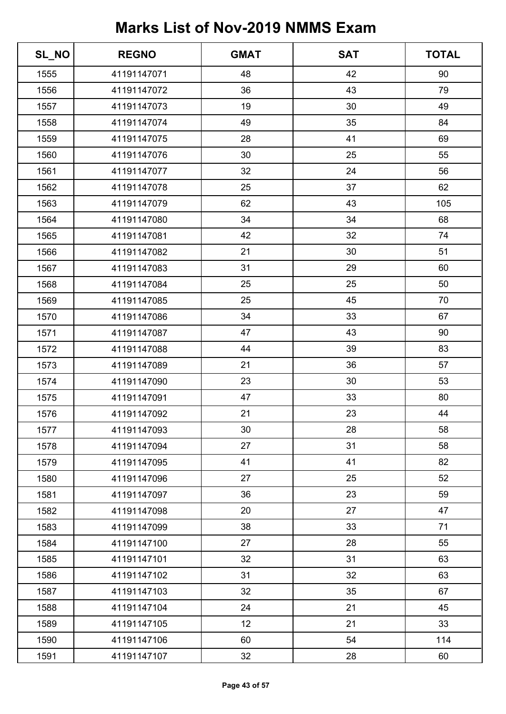| SL_NO | <b>REGNO</b> | <b>GMAT</b> | <b>SAT</b> | <b>TOTAL</b> |
|-------|--------------|-------------|------------|--------------|
| 1555  | 41191147071  | 48          | 42         | 90           |
| 1556  | 41191147072  | 36          | 43         | 79           |
| 1557  | 41191147073  | 19          | 30         | 49           |
| 1558  | 41191147074  | 49          | 35         | 84           |
| 1559  | 41191147075  | 28          | 41         | 69           |
| 1560  | 41191147076  | 30          | 25         | 55           |
| 1561  | 41191147077  | 32          | 24         | 56           |
| 1562  | 41191147078  | 25          | 37         | 62           |
| 1563  | 41191147079  | 62          | 43         | 105          |
| 1564  | 41191147080  | 34          | 34         | 68           |
| 1565  | 41191147081  | 42          | 32         | 74           |
| 1566  | 41191147082  | 21          | 30         | 51           |
| 1567  | 41191147083  | 31          | 29         | 60           |
| 1568  | 41191147084  | 25          | 25         | 50           |
| 1569  | 41191147085  | 25          | 45         | 70           |
| 1570  | 41191147086  | 34          | 33         | 67           |
| 1571  | 41191147087  | 47          | 43         | 90           |
| 1572  | 41191147088  | 44          | 39         | 83           |
| 1573  | 41191147089  | 21          | 36         | 57           |
| 1574  | 41191147090  | 23          | 30         | 53           |
| 1575  | 41191147091  | 47          | 33         | 80           |
| 1576  | 41191147092  | 21          | 23         | 44           |
| 1577  | 41191147093  | 30          | 28         | 58           |
| 1578  | 41191147094  | 27          | 31         | 58           |
| 1579  | 41191147095  | 41          | 41         | 82           |
| 1580  | 41191147096  | 27          | 25         | 52           |
| 1581  | 41191147097  | 36          | 23         | 59           |
| 1582  | 41191147098  | 20          | 27         | 47           |
| 1583  | 41191147099  | 38          | 33         | 71           |
| 1584  | 41191147100  | 27          | 28         | 55           |
| 1585  | 41191147101  | 32          | 31         | 63           |
| 1586  | 41191147102  | 31          | 32         | 63           |
| 1587  | 41191147103  | 32          | 35         | 67           |
| 1588  | 41191147104  | 24          | 21         | 45           |
| 1589  | 41191147105  | 12          | 21         | 33           |
| 1590  | 41191147106  | 60          | 54         | 114          |
| 1591  | 41191147107  | 32          | 28         | 60           |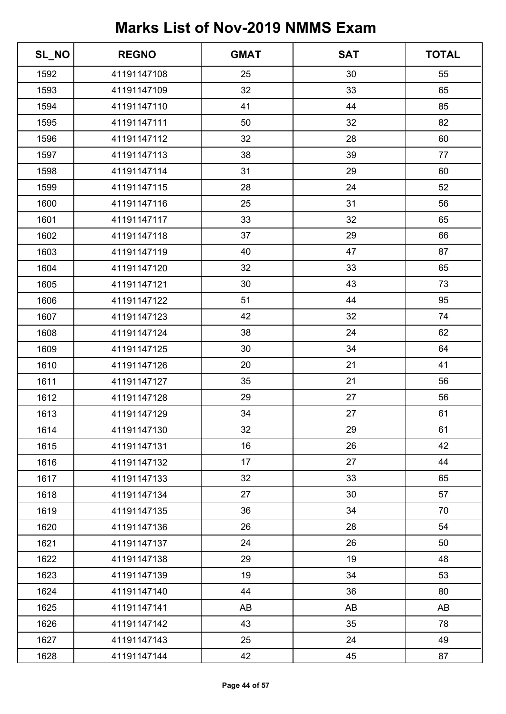| SL_NO | <b>REGNO</b> | <b>GMAT</b> | <b>SAT</b> | <b>TOTAL</b> |
|-------|--------------|-------------|------------|--------------|
| 1592  | 41191147108  | 25          | 30         | 55           |
| 1593  | 41191147109  | 32          | 33         | 65           |
| 1594  | 41191147110  | 41          | 44         | 85           |
| 1595  | 41191147111  | 50          | 32         | 82           |
| 1596  | 41191147112  | 32          | 28         | 60           |
| 1597  | 41191147113  | 38          | 39         | 77           |
| 1598  | 41191147114  | 31          | 29         | 60           |
| 1599  | 41191147115  | 28          | 24         | 52           |
| 1600  | 41191147116  | 25          | 31         | 56           |
| 1601  | 41191147117  | 33          | 32         | 65           |
| 1602  | 41191147118  | 37          | 29         | 66           |
| 1603  | 41191147119  | 40          | 47         | 87           |
| 1604  | 41191147120  | 32          | 33         | 65           |
| 1605  | 41191147121  | 30          | 43         | 73           |
| 1606  | 41191147122  | 51          | 44         | 95           |
| 1607  | 41191147123  | 42          | 32         | 74           |
| 1608  | 41191147124  | 38          | 24         | 62           |
| 1609  | 41191147125  | 30          | 34         | 64           |
| 1610  | 41191147126  | 20          | 21         | 41           |
| 1611  | 41191147127  | 35          | 21         | 56           |
| 1612  | 41191147128  | 29          | 27         | 56           |
| 1613  | 41191147129  | 34          | 27         | 61           |
| 1614  | 41191147130  | 32          | 29         | 61           |
| 1615  | 41191147131  | 16          | 26         | 42           |
| 1616  | 41191147132  | 17          | 27         | 44           |
| 1617  | 41191147133  | 32          | 33         | 65           |
| 1618  | 41191147134  | 27          | 30         | 57           |
| 1619  | 41191147135  | 36          | 34         | 70           |
| 1620  | 41191147136  | 26          | 28         | 54           |
| 1621  | 41191147137  | 24          | 26         | 50           |
| 1622  | 41191147138  | 29          | 19         | 48           |
| 1623  | 41191147139  | 19          | 34         | 53           |
| 1624  | 41191147140  | 44          | 36         | 80           |
| 1625  | 41191147141  | AB          | AB         | AB           |
| 1626  | 41191147142  | 43          | 35         | 78           |
| 1627  | 41191147143  | 25          | 24         | 49           |
| 1628  | 41191147144  | 42          | 45         | 87           |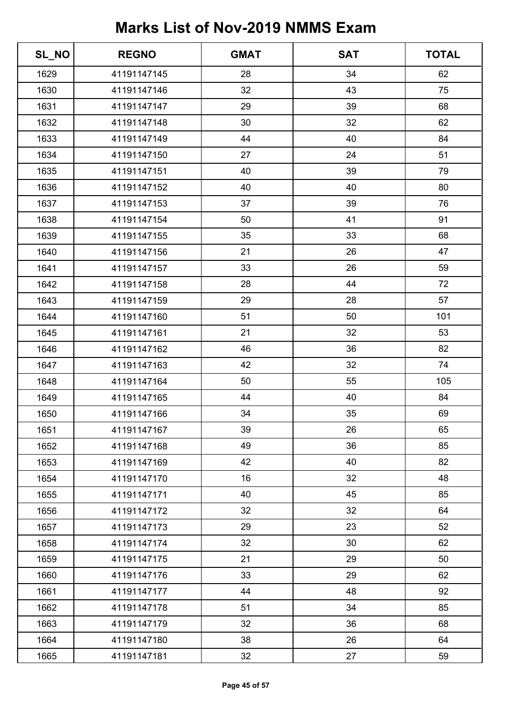| SL_NO | <b>REGNO</b> | <b>GMAT</b> | <b>SAT</b> | <b>TOTAL</b> |
|-------|--------------|-------------|------------|--------------|
| 1629  | 41191147145  | 28          | 34         | 62           |
| 1630  | 41191147146  | 32          | 43         | 75           |
| 1631  | 41191147147  | 29          | 39         | 68           |
| 1632  | 41191147148  | 30          | 32         | 62           |
| 1633  | 41191147149  | 44          | 40         | 84           |
| 1634  | 41191147150  | 27          | 24         | 51           |
| 1635  | 41191147151  | 40          | 39         | 79           |
| 1636  | 41191147152  | 40          | 40         | 80           |
| 1637  | 41191147153  | 37          | 39         | 76           |
| 1638  | 41191147154  | 50          | 41         | 91           |
| 1639  | 41191147155  | 35          | 33         | 68           |
| 1640  | 41191147156  | 21          | 26         | 47           |
| 1641  | 41191147157  | 33          | 26         | 59           |
| 1642  | 41191147158  | 28          | 44         | 72           |
| 1643  | 41191147159  | 29          | 28         | 57           |
| 1644  | 41191147160  | 51          | 50         | 101          |
| 1645  | 41191147161  | 21          | 32         | 53           |
| 1646  | 41191147162  | 46          | 36         | 82           |
| 1647  | 41191147163  | 42          | 32         | 74           |
| 1648  | 41191147164  | 50          | 55         | 105          |
| 1649  | 41191147165  | 44          | 40         | 84           |
| 1650  | 41191147166  | 34          | 35         | 69           |
| 1651  | 41191147167  | 39          | 26         | 65           |
| 1652  | 41191147168  | 49          | 36         | 85           |
| 1653  | 41191147169  | 42          | 40         | 82           |
| 1654  | 41191147170  | 16          | 32         | 48           |
| 1655  | 41191147171  | 40          | 45         | 85           |
| 1656  | 41191147172  | 32          | 32         | 64           |
| 1657  | 41191147173  | 29          | 23         | 52           |
| 1658  | 41191147174  | 32          | 30         | 62           |
| 1659  | 41191147175  | 21          | 29         | 50           |
| 1660  | 41191147176  | 33          | 29         | 62           |
| 1661  | 41191147177  | 44          | 48         | 92           |
| 1662  | 41191147178  | 51          | 34         | 85           |
| 1663  | 41191147179  | 32          | 36         | 68           |
| 1664  | 41191147180  | 38          | 26         | 64           |
| 1665  | 41191147181  | 32          | 27         | 59           |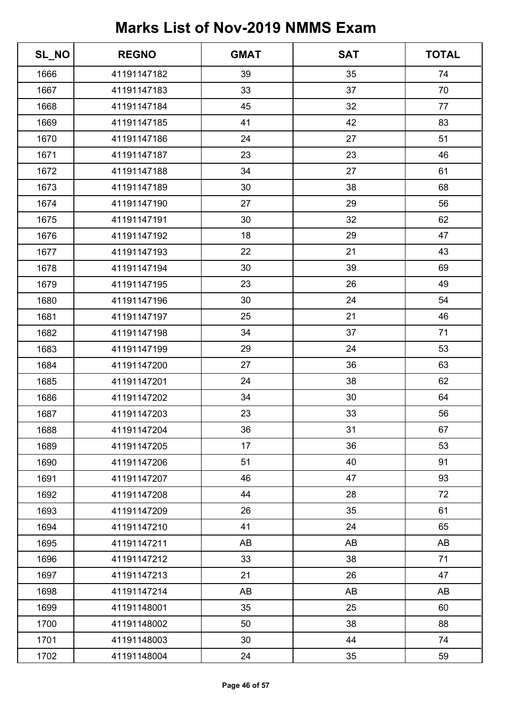| SL_NO | <b>REGNO</b> | <b>GMAT</b> | <b>SAT</b> | <b>TOTAL</b> |
|-------|--------------|-------------|------------|--------------|
| 1666  | 41191147182  | 39          | 35         | 74           |
| 1667  | 41191147183  | 33          | 37         | 70           |
| 1668  | 41191147184  | 45          | 32         | 77           |
| 1669  | 41191147185  | 41          | 42         | 83           |
| 1670  | 41191147186  | 24          | 27         | 51           |
| 1671  | 41191147187  | 23          | 23         | 46           |
| 1672  | 41191147188  | 34          | 27         | 61           |
| 1673  | 41191147189  | 30          | 38         | 68           |
| 1674  | 41191147190  | 27          | 29         | 56           |
| 1675  | 41191147191  | 30          | 32         | 62           |
| 1676  | 41191147192  | 18          | 29         | 47           |
| 1677  | 41191147193  | 22          | 21         | 43           |
| 1678  | 41191147194  | 30          | 39         | 69           |
| 1679  | 41191147195  | 23          | 26         | 49           |
| 1680  | 41191147196  | 30          | 24         | 54           |
| 1681  | 41191147197  | 25          | 21         | 46           |
| 1682  | 41191147198  | 34          | 37         | 71           |
| 1683  | 41191147199  | 29          | 24         | 53           |
| 1684  | 41191147200  | 27          | 36         | 63           |
| 1685  | 41191147201  | 24          | 38         | 62           |
| 1686  | 41191147202  | 34          | 30         | 64           |
| 1687  | 41191147203  | 23          | 33         | 56           |
| 1688  | 41191147204  | 36          | 31         | 67           |
| 1689  | 41191147205  | 17          | 36         | 53           |
| 1690  | 41191147206  | 51          | 40         | 91           |
| 1691  | 41191147207  | 46          | 47         | 93           |
| 1692  | 41191147208  | 44          | 28         | 72           |
| 1693  | 41191147209  | 26          | 35         | 61           |
| 1694  | 41191147210  | 41          | 24         | 65           |
| 1695  | 41191147211  | AB          | AB         | AB           |
| 1696  | 41191147212  | 33          | 38         | 71           |
| 1697  | 41191147213  | 21          | 26         | 47           |
| 1698  | 41191147214  | AB          | AB         | AB           |
| 1699  | 41191148001  | 35          | 25         | 60           |
| 1700  | 41191148002  | 50          | 38         | 88           |
| 1701  | 41191148003  | 30          | 44         | 74           |
| 1702  | 41191148004  | 24          | 35         | 59           |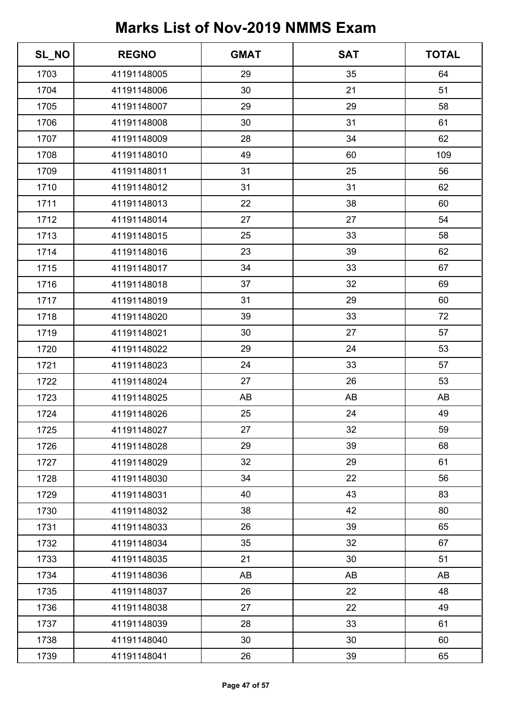| SL_NO | <b>REGNO</b> | <b>GMAT</b> | <b>SAT</b> | <b>TOTAL</b> |
|-------|--------------|-------------|------------|--------------|
| 1703  | 41191148005  | 29          | 35         | 64           |
| 1704  | 41191148006  | 30          | 21         | 51           |
| 1705  | 41191148007  | 29          | 29         | 58           |
| 1706  | 41191148008  | 30          | 31         | 61           |
| 1707  | 41191148009  | 28          | 34         | 62           |
| 1708  | 41191148010  | 49          | 60         | 109          |
| 1709  | 41191148011  | 31          | 25         | 56           |
| 1710  | 41191148012  | 31          | 31         | 62           |
| 1711  | 41191148013  | 22          | 38         | 60           |
| 1712  | 41191148014  | 27          | 27         | 54           |
| 1713  | 41191148015  | 25          | 33         | 58           |
| 1714  | 41191148016  | 23          | 39         | 62           |
| 1715  | 41191148017  | 34          | 33         | 67           |
| 1716  | 41191148018  | 37          | 32         | 69           |
| 1717  | 41191148019  | 31          | 29         | 60           |
| 1718  | 41191148020  | 39          | 33         | 72           |
| 1719  | 41191148021  | 30          | 27         | 57           |
| 1720  | 41191148022  | 29          | 24         | 53           |
| 1721  | 41191148023  | 24          | 33         | 57           |
| 1722  | 41191148024  | 27          | 26         | 53           |
| 1723  | 41191148025  | AB          | AB         | AB           |
| 1724  | 41191148026  | 25          | 24         | 49           |
| 1725  | 41191148027  | 27          | 32         | 59           |
| 1726  | 41191148028  | 29          | 39         | 68           |
| 1727  | 41191148029  | 32          | 29         | 61           |
| 1728  | 41191148030  | 34          | 22         | 56           |
| 1729  | 41191148031  | 40          | 43         | 83           |
| 1730  | 41191148032  | 38          | 42         | 80           |
| 1731  | 41191148033  | 26          | 39         | 65           |
| 1732  | 41191148034  | 35          | 32         | 67           |
| 1733  | 41191148035  | 21          | 30         | 51           |
| 1734  | 41191148036  | AB          | AB         | AB           |
| 1735  | 41191148037  | 26          | 22         | 48           |
| 1736  | 41191148038  | 27          | 22         | 49           |
| 1737  | 41191148039  | 28          | 33         | 61           |
| 1738  | 41191148040  | 30          | 30         | 60           |
| 1739  | 41191148041  | 26          | 39         | 65           |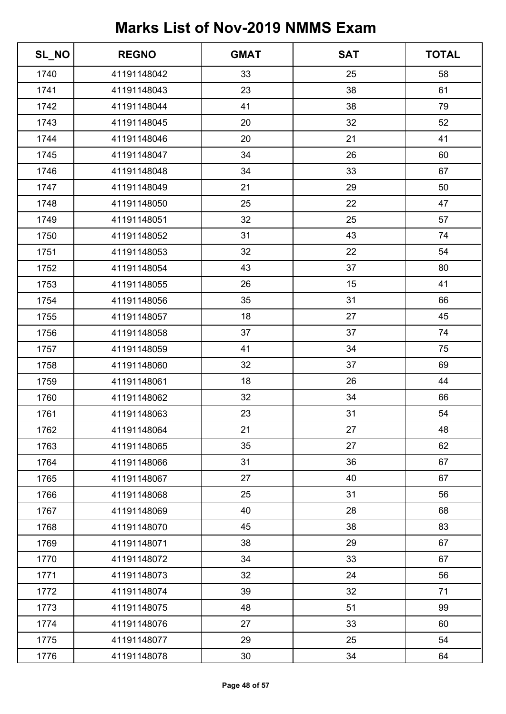| SL_NO | <b>REGNO</b> | <b>GMAT</b> | <b>SAT</b> | <b>TOTAL</b> |
|-------|--------------|-------------|------------|--------------|
| 1740  | 41191148042  | 33          | 25         | 58           |
| 1741  | 41191148043  | 23          | 38         | 61           |
| 1742  | 41191148044  | 41          | 38         | 79           |
| 1743  | 41191148045  | 20          | 32         | 52           |
| 1744  | 41191148046  | 20          | 21         | 41           |
| 1745  | 41191148047  | 34          | 26         | 60           |
| 1746  | 41191148048  | 34          | 33         | 67           |
| 1747  | 41191148049  | 21          | 29         | 50           |
| 1748  | 41191148050  | 25          | 22         | 47           |
| 1749  | 41191148051  | 32          | 25         | 57           |
| 1750  | 41191148052  | 31          | 43         | 74           |
| 1751  | 41191148053  | 32          | 22         | 54           |
| 1752  | 41191148054  | 43          | 37         | 80           |
| 1753  | 41191148055  | 26          | 15         | 41           |
| 1754  | 41191148056  | 35          | 31         | 66           |
| 1755  | 41191148057  | 18          | 27         | 45           |
| 1756  | 41191148058  | 37          | 37         | 74           |
| 1757  | 41191148059  | 41          | 34         | 75           |
| 1758  | 41191148060  | 32          | 37         | 69           |
| 1759  | 41191148061  | 18          | 26         | 44           |
| 1760  | 41191148062  | 32          | 34         | 66           |
| 1761  | 41191148063  | 23          | 31         | 54           |
| 1762  | 41191148064  | 21          | 27         | 48           |
| 1763  | 41191148065  | 35          | 27         | 62           |
| 1764  | 41191148066  | 31          | 36         | 67           |
| 1765  | 41191148067  | 27          | 40         | 67           |
| 1766  | 41191148068  | 25          | 31         | 56           |
| 1767  | 41191148069  | 40          | 28         | 68           |
| 1768  | 41191148070  | 45          | 38         | 83           |
| 1769  | 41191148071  | 38          | 29         | 67           |
| 1770  | 41191148072  | 34          | 33         | 67           |
| 1771  | 41191148073  | 32          | 24         | 56           |
| 1772  | 41191148074  | 39          | 32         | 71           |
| 1773  | 41191148075  | 48          | 51         | 99           |
| 1774  | 41191148076  | 27          | 33         | 60           |
| 1775  | 41191148077  | 29          | 25         | 54           |
| 1776  | 41191148078  | 30          | 34         | 64           |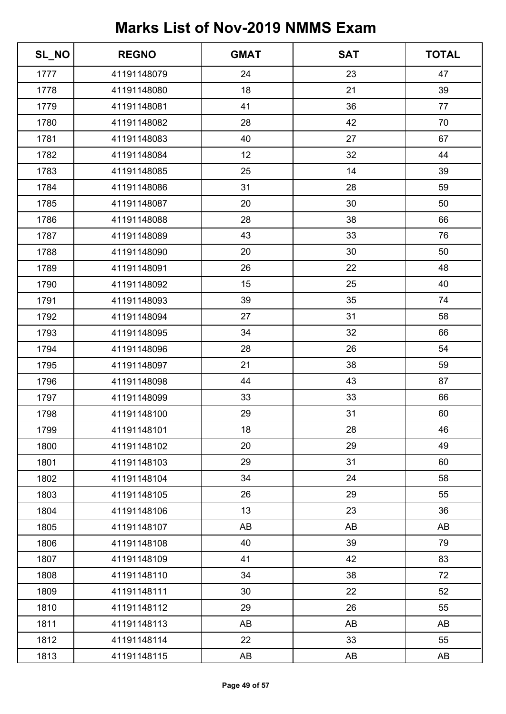| SL_NO | <b>REGNO</b> | <b>GMAT</b> | <b>SAT</b> | <b>TOTAL</b> |
|-------|--------------|-------------|------------|--------------|
| 1777  | 41191148079  | 24          | 23         | 47           |
| 1778  | 41191148080  | 18          | 21         | 39           |
| 1779  | 41191148081  | 41          | 36         | 77           |
| 1780  | 41191148082  | 28          | 42         | 70           |
| 1781  | 41191148083  | 40          | 27         | 67           |
| 1782  | 41191148084  | 12          | 32         | 44           |
| 1783  | 41191148085  | 25          | 14         | 39           |
| 1784  | 41191148086  | 31          | 28         | 59           |
| 1785  | 41191148087  | 20          | 30         | 50           |
| 1786  | 41191148088  | 28          | 38         | 66           |
| 1787  | 41191148089  | 43          | 33         | 76           |
| 1788  | 41191148090  | 20          | 30         | 50           |
| 1789  | 41191148091  | 26          | 22         | 48           |
| 1790  | 41191148092  | 15          | 25         | 40           |
| 1791  | 41191148093  | 39          | 35         | 74           |
| 1792  | 41191148094  | 27          | 31         | 58           |
| 1793  | 41191148095  | 34          | 32         | 66           |
| 1794  | 41191148096  | 28          | 26         | 54           |
| 1795  | 41191148097  | 21          | 38         | 59           |
| 1796  | 41191148098  | 44          | 43         | 87           |
| 1797  | 41191148099  | 33          | 33         | 66           |
| 1798  | 41191148100  | 29          | 31         | 60           |
| 1799  | 41191148101  | 18          | 28         | 46           |
| 1800  | 41191148102  | 20          | 29         | 49           |
| 1801  | 41191148103  | 29          | 31         | 60           |
| 1802  | 41191148104  | 34          | 24         | 58           |
| 1803  | 41191148105  | 26          | 29         | 55           |
| 1804  | 41191148106  | 13          | 23         | 36           |
| 1805  | 41191148107  | AB          | AB         | AB           |
| 1806  | 41191148108  | 40          | 39         | 79           |
| 1807  | 41191148109  | 41          | 42         | 83           |
| 1808  | 41191148110  | 34          | 38         | 72           |
| 1809  | 41191148111  | 30          | 22         | 52           |
| 1810  | 41191148112  | 29          | 26         | 55           |
| 1811  | 41191148113  | AB          | AB         | AB           |
| 1812  | 41191148114  | 22          | 33         | 55           |
| 1813  | 41191148115  | AB          | AB         | AB           |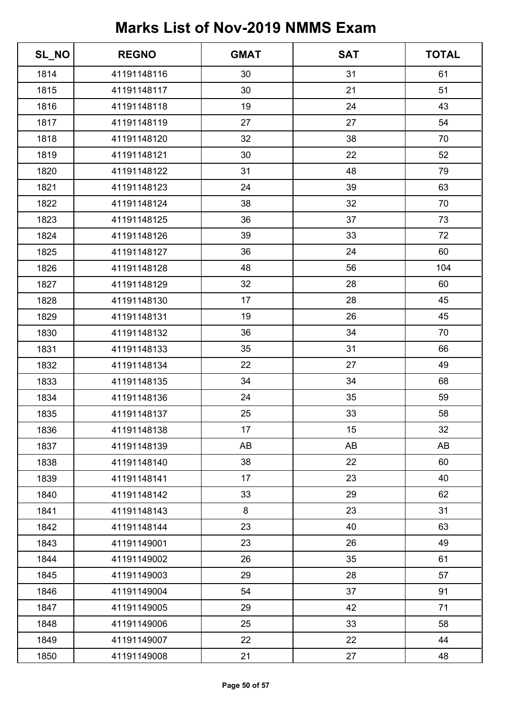| SL_NO | <b>REGNO</b> | <b>GMAT</b> | <b>SAT</b> | <b>TOTAL</b> |
|-------|--------------|-------------|------------|--------------|
| 1814  | 41191148116  | 30          | 31         | 61           |
| 1815  | 41191148117  | 30          | 21         | 51           |
| 1816  | 41191148118  | 19          | 24         | 43           |
| 1817  | 41191148119  | 27          | 27         | 54           |
| 1818  | 41191148120  | 32          | 38         | 70           |
| 1819  | 41191148121  | 30          | 22         | 52           |
| 1820  | 41191148122  | 31          | 48         | 79           |
| 1821  | 41191148123  | 24          | 39         | 63           |
| 1822  | 41191148124  | 38          | 32         | 70           |
| 1823  | 41191148125  | 36          | 37         | 73           |
| 1824  | 41191148126  | 39          | 33         | 72           |
| 1825  | 41191148127  | 36          | 24         | 60           |
| 1826  | 41191148128  | 48          | 56         | 104          |
| 1827  | 41191148129  | 32          | 28         | 60           |
| 1828  | 41191148130  | 17          | 28         | 45           |
| 1829  | 41191148131  | 19          | 26         | 45           |
| 1830  | 41191148132  | 36          | 34         | 70           |
| 1831  | 41191148133  | 35          | 31         | 66           |
| 1832  | 41191148134  | 22          | 27         | 49           |
| 1833  | 41191148135  | 34          | 34         | 68           |
| 1834  | 41191148136  | 24          | 35         | 59           |
| 1835  | 41191148137  | 25          | 33         | 58           |
| 1836  | 41191148138  | 17          | 15         | 32           |
| 1837  | 41191148139  | AB          | AB         | AB           |
| 1838  | 41191148140  | 38          | 22         | 60           |
| 1839  | 41191148141  | 17          | 23         | 40           |
| 1840  | 41191148142  | 33          | 29         | 62           |
| 1841  | 41191148143  | 8           | 23         | 31           |
| 1842  | 41191148144  | 23          | 40         | 63           |
| 1843  | 41191149001  | 23          | 26         | 49           |
| 1844  | 41191149002  | 26          | 35         | 61           |
| 1845  | 41191149003  | 29          | 28         | 57           |
| 1846  | 41191149004  | 54          | 37         | 91           |
| 1847  | 41191149005  | 29          | 42         | 71           |
| 1848  | 41191149006  | 25          | 33         | 58           |
| 1849  | 41191149007  | 22          | 22         | 44           |
| 1850  | 41191149008  | 21          | 27         | 48           |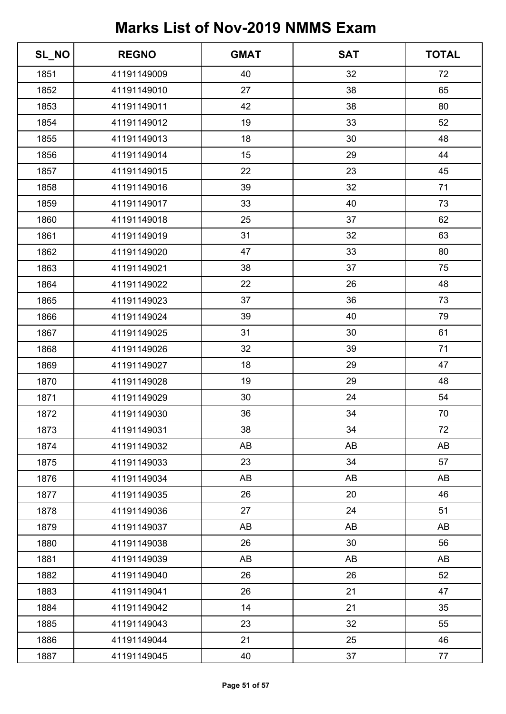| SL_NO | <b>REGNO</b> | <b>GMAT</b> | <b>SAT</b> | <b>TOTAL</b> |
|-------|--------------|-------------|------------|--------------|
| 1851  | 41191149009  | 40          | 32         | 72           |
| 1852  | 41191149010  | 27          | 38         | 65           |
| 1853  | 41191149011  | 42          | 38         | 80           |
| 1854  | 41191149012  | 19          | 33         | 52           |
| 1855  | 41191149013  | 18          | 30         | 48           |
| 1856  | 41191149014  | 15          | 29         | 44           |
| 1857  | 41191149015  | 22          | 23         | 45           |
| 1858  | 41191149016  | 39          | 32         | 71           |
| 1859  | 41191149017  | 33          | 40         | 73           |
| 1860  | 41191149018  | 25          | 37         | 62           |
| 1861  | 41191149019  | 31          | 32         | 63           |
| 1862  | 41191149020  | 47          | 33         | 80           |
| 1863  | 41191149021  | 38          | 37         | 75           |
| 1864  | 41191149022  | 22          | 26         | 48           |
| 1865  | 41191149023  | 37          | 36         | 73           |
| 1866  | 41191149024  | 39          | 40         | 79           |
| 1867  | 41191149025  | 31          | 30         | 61           |
| 1868  | 41191149026  | 32          | 39         | 71           |
| 1869  | 41191149027  | 18          | 29         | 47           |
| 1870  | 41191149028  | 19          | 29         | 48           |
| 1871  | 41191149029  | 30          | 24         | 54           |
| 1872  | 41191149030  | 36          | 34         | 70           |
| 1873  | 41191149031  | 38          | 34         | 72           |
| 1874  | 41191149032  | AB          | AB         | AB           |
| 1875  | 41191149033  | 23          | 34         | 57           |
| 1876  | 41191149034  | AB          | AB         | AB           |
| 1877  | 41191149035  | 26          | 20         | 46           |
| 1878  | 41191149036  | 27          | 24         | 51           |
| 1879  | 41191149037  | AB          | AB         | AB           |
| 1880  | 41191149038  | 26          | 30         | 56           |
| 1881  | 41191149039  | AB          | AB         | AB           |
| 1882  | 41191149040  | 26          | 26         | 52           |
| 1883  | 41191149041  | 26          | 21         | 47           |
| 1884  | 41191149042  | 14          | 21         | 35           |
| 1885  | 41191149043  | 23          | 32         | 55           |
| 1886  | 41191149044  | 21          | 25         | 46           |
| 1887  | 41191149045  | 40          | 37         | 77           |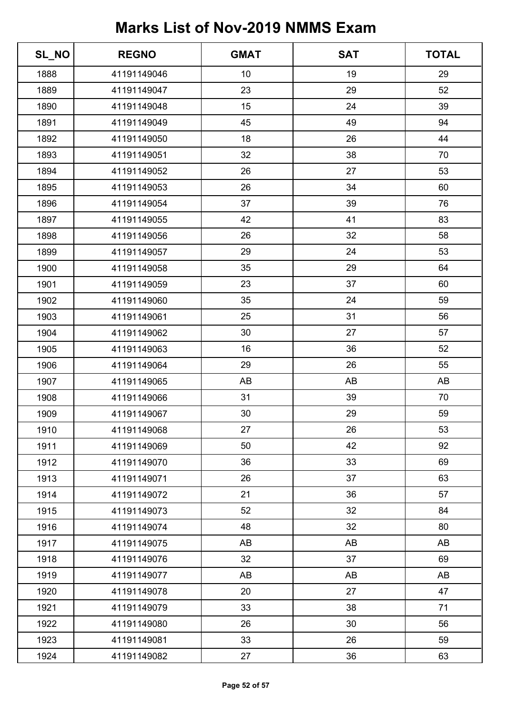| SL_NO | <b>REGNO</b> | <b>GMAT</b> | <b>SAT</b> | <b>TOTAL</b> |
|-------|--------------|-------------|------------|--------------|
| 1888  | 41191149046  | 10          | 19         | 29           |
| 1889  | 41191149047  | 23          | 29         | 52           |
| 1890  | 41191149048  | 15          | 24         | 39           |
| 1891  | 41191149049  | 45          | 49         | 94           |
| 1892  | 41191149050  | 18          | 26         | 44           |
| 1893  | 41191149051  | 32          | 38         | 70           |
| 1894  | 41191149052  | 26          | 27         | 53           |
| 1895  | 41191149053  | 26          | 34         | 60           |
| 1896  | 41191149054  | 37          | 39         | 76           |
| 1897  | 41191149055  | 42          | 41         | 83           |
| 1898  | 41191149056  | 26          | 32         | 58           |
| 1899  | 41191149057  | 29          | 24         | 53           |
| 1900  | 41191149058  | 35          | 29         | 64           |
| 1901  | 41191149059  | 23          | 37         | 60           |
| 1902  | 41191149060  | 35          | 24         | 59           |
| 1903  | 41191149061  | 25          | 31         | 56           |
| 1904  | 41191149062  | 30          | 27         | 57           |
| 1905  | 41191149063  | 16          | 36         | 52           |
| 1906  | 41191149064  | 29          | 26         | 55           |
| 1907  | 41191149065  | AB          | AB         | AB           |
| 1908  | 41191149066  | 31          | 39         | 70           |
| 1909  | 41191149067  | 30          | 29         | 59           |
| 1910  | 41191149068  | 27          | 26         | 53           |
| 1911  | 41191149069  | 50          | 42         | 92           |
| 1912  | 41191149070  | 36          | 33         | 69           |
| 1913  | 41191149071  | 26          | 37         | 63           |
| 1914  | 41191149072  | 21          | 36         | 57           |
| 1915  | 41191149073  | 52          | 32         | 84           |
| 1916  | 41191149074  | 48          | 32         | 80           |
| 1917  | 41191149075  | AB          | AB         | AB           |
| 1918  | 41191149076  | 32          | 37         | 69           |
| 1919  | 41191149077  | AB          | AB         | AB           |
| 1920  | 41191149078  | 20          | 27         | 47           |
| 1921  | 41191149079  | 33          | 38         | 71           |
| 1922  | 41191149080  | 26          | 30         | 56           |
| 1923  | 41191149081  | 33          | 26         | 59           |
| 1924  | 41191149082  | 27          | 36         | 63           |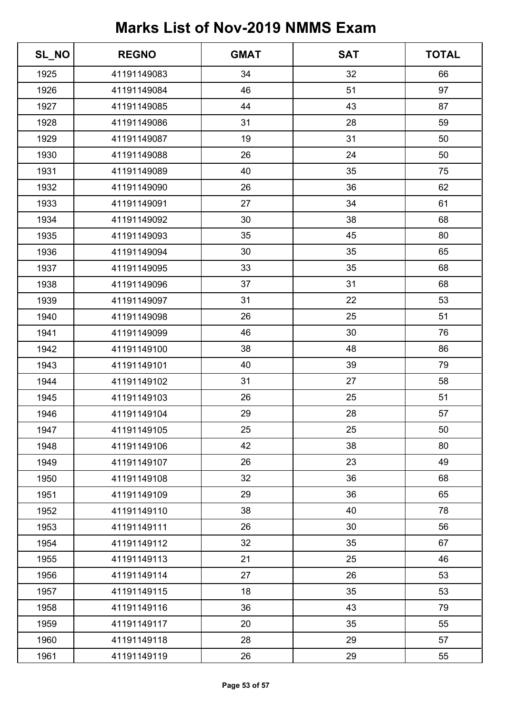| SL_NO | <b>REGNO</b> | <b>GMAT</b> | <b>SAT</b> | <b>TOTAL</b> |
|-------|--------------|-------------|------------|--------------|
| 1925  | 41191149083  | 34          | 32         | 66           |
| 1926  | 41191149084  | 46          | 51         | 97           |
| 1927  | 41191149085  | 44          | 43         | 87           |
| 1928  | 41191149086  | 31          | 28         | 59           |
| 1929  | 41191149087  | 19          | 31         | 50           |
| 1930  | 41191149088  | 26          | 24         | 50           |
| 1931  | 41191149089  | 40          | 35         | 75           |
| 1932  | 41191149090  | 26          | 36         | 62           |
| 1933  | 41191149091  | 27          | 34         | 61           |
| 1934  | 41191149092  | 30          | 38         | 68           |
| 1935  | 41191149093  | 35          | 45         | 80           |
| 1936  | 41191149094  | 30          | 35         | 65           |
| 1937  | 41191149095  | 33          | 35         | 68           |
| 1938  | 41191149096  | 37          | 31         | 68           |
| 1939  | 41191149097  | 31          | 22         | 53           |
| 1940  | 41191149098  | 26          | 25         | 51           |
| 1941  | 41191149099  | 46          | 30         | 76           |
| 1942  | 41191149100  | 38          | 48         | 86           |
| 1943  | 41191149101  | 40          | 39         | 79           |
| 1944  | 41191149102  | 31          | 27         | 58           |
| 1945  | 41191149103  | 26          | 25         | 51           |
| 1946  | 41191149104  | 29          | 28         | 57           |
| 1947  | 41191149105  | 25          | 25         | 50           |
| 1948  | 41191149106  | 42          | 38         | 80           |
| 1949  | 41191149107  | 26          | 23         | 49           |
| 1950  | 41191149108  | 32          | 36         | 68           |
| 1951  | 41191149109  | 29          | 36         | 65           |
| 1952  | 41191149110  | 38          | 40         | 78           |
| 1953  | 41191149111  | 26          | 30         | 56           |
| 1954  | 41191149112  | 32          | 35         | 67           |
| 1955  | 41191149113  | 21          | 25         | 46           |
| 1956  | 41191149114  | 27          | 26         | 53           |
| 1957  | 41191149115  | 18          | 35         | 53           |
| 1958  | 41191149116  | 36          | 43         | 79           |
| 1959  | 41191149117  | 20          | 35         | 55           |
| 1960  | 41191149118  | 28          | 29         | 57           |
| 1961  | 41191149119  | 26          | 29         | 55           |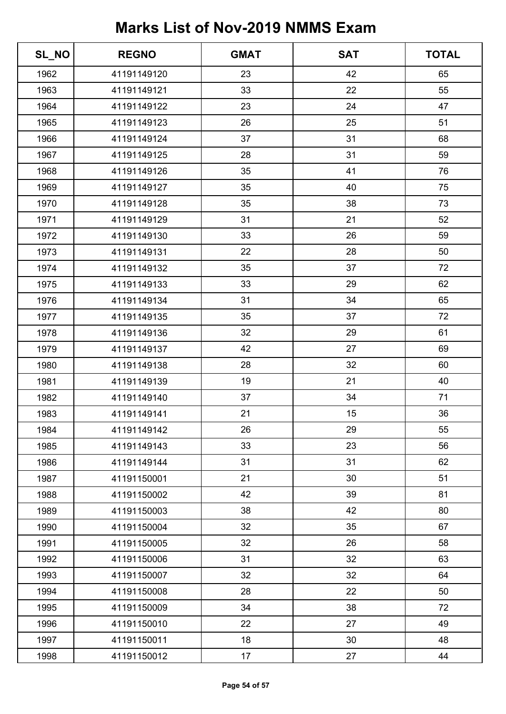| SL_NO | <b>REGNO</b> | <b>GMAT</b> | <b>SAT</b> | <b>TOTAL</b> |
|-------|--------------|-------------|------------|--------------|
| 1962  | 41191149120  | 23          | 42         | 65           |
| 1963  | 41191149121  | 33          | 22         | 55           |
| 1964  | 41191149122  | 23          | 24         | 47           |
| 1965  | 41191149123  | 26          | 25         | 51           |
| 1966  | 41191149124  | 37          | 31         | 68           |
| 1967  | 41191149125  | 28          | 31         | 59           |
| 1968  | 41191149126  | 35          | 41         | 76           |
| 1969  | 41191149127  | 35          | 40         | 75           |
| 1970  | 41191149128  | 35          | 38         | 73           |
| 1971  | 41191149129  | 31          | 21         | 52           |
| 1972  | 41191149130  | 33          | 26         | 59           |
| 1973  | 41191149131  | 22          | 28         | 50           |
| 1974  | 41191149132  | 35          | 37         | 72           |
| 1975  | 41191149133  | 33          | 29         | 62           |
| 1976  | 41191149134  | 31          | 34         | 65           |
| 1977  | 41191149135  | 35          | 37         | 72           |
| 1978  | 41191149136  | 32          | 29         | 61           |
| 1979  | 41191149137  | 42          | 27         | 69           |
| 1980  | 41191149138  | 28          | 32         | 60           |
| 1981  | 41191149139  | 19          | 21         | 40           |
| 1982  | 41191149140  | 37          | 34         | 71           |
| 1983  | 41191149141  | 21          | 15         | 36           |
| 1984  | 41191149142  | 26          | 29         | 55           |
| 1985  | 41191149143  | 33          | 23         | 56           |
| 1986  | 41191149144  | 31          | 31         | 62           |
| 1987  | 41191150001  | 21          | 30         | 51           |
| 1988  | 41191150002  | 42          | 39         | 81           |
| 1989  | 41191150003  | 38          | 42         | 80           |
| 1990  | 41191150004  | 32          | 35         | 67           |
| 1991  | 41191150005  | 32          | 26         | 58           |
| 1992  | 41191150006  | 31          | 32         | 63           |
| 1993  | 41191150007  | 32          | 32         | 64           |
| 1994  | 41191150008  | 28          | 22         | 50           |
| 1995  | 41191150009  | 34          | 38         | 72           |
| 1996  | 41191150010  | 22          | 27         | 49           |
| 1997  | 41191150011  | 18          | 30         | 48           |
| 1998  | 41191150012  | 17          | 27         | 44           |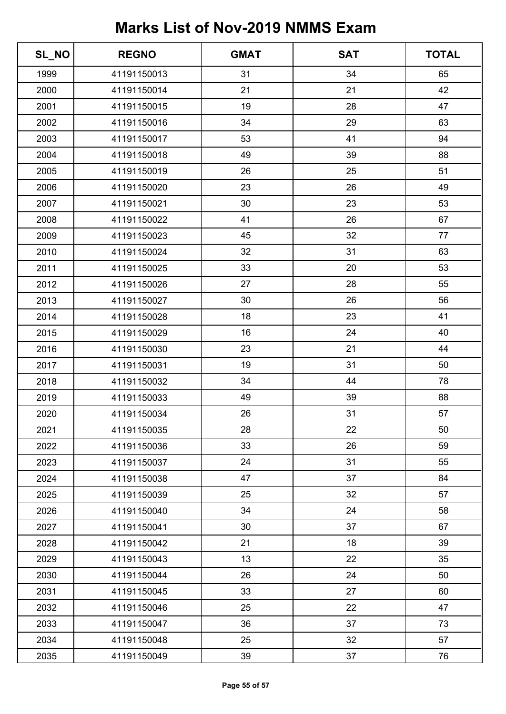| SL_NO | <b>REGNO</b> | <b>GMAT</b> | <b>SAT</b> | <b>TOTAL</b> |
|-------|--------------|-------------|------------|--------------|
| 1999  | 41191150013  | 31          | 34         | 65           |
| 2000  | 41191150014  | 21          | 21         | 42           |
| 2001  | 41191150015  | 19          | 28         | 47           |
| 2002  | 41191150016  | 34          | 29         | 63           |
| 2003  | 41191150017  | 53          | 41         | 94           |
| 2004  | 41191150018  | 49          | 39         | 88           |
| 2005  | 41191150019  | 26          | 25         | 51           |
| 2006  | 41191150020  | 23          | 26         | 49           |
| 2007  | 41191150021  | 30          | 23         | 53           |
| 2008  | 41191150022  | 41          | 26         | 67           |
| 2009  | 41191150023  | 45          | 32         | 77           |
| 2010  | 41191150024  | 32          | 31         | 63           |
| 2011  | 41191150025  | 33          | 20         | 53           |
| 2012  | 41191150026  | 27          | 28         | 55           |
| 2013  | 41191150027  | 30          | 26         | 56           |
| 2014  | 41191150028  | 18          | 23         | 41           |
| 2015  | 41191150029  | 16          | 24         | 40           |
| 2016  | 41191150030  | 23          | 21         | 44           |
| 2017  | 41191150031  | 19          | 31         | 50           |
| 2018  | 41191150032  | 34          | 44         | 78           |
| 2019  | 41191150033  | 49          | 39         | 88           |
| 2020  | 41191150034  | 26          | 31         | 57           |
| 2021  | 41191150035  | 28          | 22         | 50           |
| 2022  | 41191150036  | 33          | 26         | 59           |
| 2023  | 41191150037  | 24          | 31         | 55           |
| 2024  | 41191150038  | 47          | 37         | 84           |
| 2025  | 41191150039  | 25          | 32         | 57           |
| 2026  | 41191150040  | 34          | 24         | 58           |
| 2027  | 41191150041  | 30          | 37         | 67           |
| 2028  | 41191150042  | 21          | 18         | 39           |
| 2029  | 41191150043  | 13          | 22         | 35           |
| 2030  | 41191150044  | 26          | 24         | 50           |
| 2031  | 41191150045  | 33          | 27         | 60           |
| 2032  | 41191150046  | 25          | 22         | 47           |
| 2033  | 41191150047  | 36          | 37         | 73           |
| 2034  | 41191150048  | 25          | 32         | 57           |
| 2035  | 41191150049  | 39          | 37         | 76           |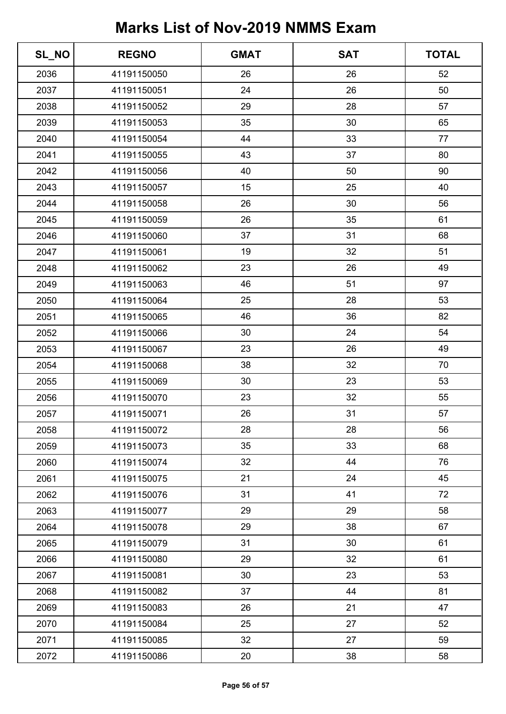| SL_NO | <b>REGNO</b> | <b>GMAT</b> | <b>SAT</b> | <b>TOTAL</b> |
|-------|--------------|-------------|------------|--------------|
| 2036  | 41191150050  | 26          | 26         | 52           |
| 2037  | 41191150051  | 24          | 26         | 50           |
| 2038  | 41191150052  | 29          | 28         | 57           |
| 2039  | 41191150053  | 35          | 30         | 65           |
| 2040  | 41191150054  | 44          | 33         | 77           |
| 2041  | 41191150055  | 43          | 37         | 80           |
| 2042  | 41191150056  | 40          | 50         | 90           |
| 2043  | 41191150057  | 15          | 25         | 40           |
| 2044  | 41191150058  | 26          | 30         | 56           |
| 2045  | 41191150059  | 26          | 35         | 61           |
| 2046  | 41191150060  | 37          | 31         | 68           |
| 2047  | 41191150061  | 19          | 32         | 51           |
| 2048  | 41191150062  | 23          | 26         | 49           |
| 2049  | 41191150063  | 46          | 51         | 97           |
| 2050  | 41191150064  | 25          | 28         | 53           |
| 2051  | 41191150065  | 46          | 36         | 82           |
| 2052  | 41191150066  | 30          | 24         | 54           |
| 2053  | 41191150067  | 23          | 26         | 49           |
| 2054  | 41191150068  | 38          | 32         | 70           |
| 2055  | 41191150069  | 30          | 23         | 53           |
| 2056  | 41191150070  | 23          | 32         | 55           |
| 2057  | 41191150071  | 26          | 31         | 57           |
| 2058  | 41191150072  | 28          | 28         | 56           |
| 2059  | 41191150073  | 35          | 33         | 68           |
| 2060  | 41191150074  | 32          | 44         | 76           |
| 2061  | 41191150075  | 21          | 24         | 45           |
| 2062  | 41191150076  | 31          | 41         | 72           |
| 2063  | 41191150077  | 29          | 29         | 58           |
| 2064  | 41191150078  | 29          | 38         | 67           |
| 2065  | 41191150079  | 31          | 30         | 61           |
| 2066  | 41191150080  | 29          | 32         | 61           |
| 2067  | 41191150081  | 30          | 23         | 53           |
| 2068  | 41191150082  | 37          | 44         | 81           |
| 2069  | 41191150083  | 26          | 21         | 47           |
| 2070  | 41191150084  | 25          | 27         | 52           |
| 2071  | 41191150085  | 32          | 27         | 59           |
| 2072  | 41191150086  | 20          | 38         | 58           |